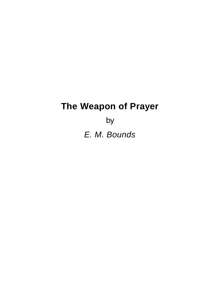# **The Weapon of Prayer**

by *E. M. Bounds*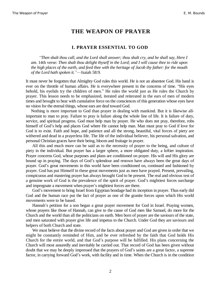## **THE WEAPON OF PRAYER**

## **I. PRAYER ESSENTIAL TO GOD**

*³Then shalt thou call, and the Lord shall answer; thou shalt cry, and he shall say, Here I am.* 14th verse: *Then shalt thou delight thyself in the Lord; and I will cause thee to ride upon the high places of the earth, and feed thee with the heritage of Jacob thy father: for the mouth of the Lord hath spoken it.*<sup>*''*—Isaiah 58:9.</sup>

It must never be forgotten that Almighty God rules this world. He is not an absentee God. His band is ever on the throttle of human affairs. He is everywhere present in the concerns of time. "His eyes" behold, his eyelids try the children of men." He rules the world just as He rules the Church by prayer. This lesson needs to be emphasized, iterated and reiterated in the ears of men of modern times and brought to bear with cumulative force on the consciences of this generation whose eyes have no vision for the eternal things, whose ears are deaf toward God.

Nothing is more important to God than prayer in dealing with mankind. But it is likewise allimportant to man to pray. Failure to pray is failure along the whole line of life. It is failure of duty, service, and spiritual progress. God must help man by prayer. He who does not pray, therefore, robs himself of God's help and places God where He cannot help man. Man must pray to God if love for God is to exist. Faith and hope, and patience and all the strong, beautiful, vital forces of piety are withered and dead in a prayerless life. The life of the individual believer, his personal salvation, and personal Christian graces have their being, bloom and fruitage in prayer.

All this and much more can be said as to the necessity of prayer to the being, and culture of piety in the individual. But prayer has a larger sphere, a more obligated duty, a loftier inspiration. Prayer concerns God, whose purposes and plans are conditioned on prayer. His will and His glory are bound up in praying. The days of God's splendour and renown have always been the great days of prayer. God's great movements in this world have been conditioned on, continued and fashioned by prayer. God has put Himself in these great movements just as men have prayed. Present, prevailing, conspicuous and mastering prayer has always brought God to be present. The real and obvious test of a genuine work of God is the prevalence of the spirit of prayer. God's mightiest forces surcharge and impregnate a movement when prayer's mightiest forces are there.

God's movement to bring Israel from Egyptian bondage had its inception in prayer. Thus early did God and the human race put the fact of prayer as one of the granite forces upon which His world movements were to be based.

Hannah's petition for a son began a great prayer movement for God in Israel. Praying women, whose prayers like those of Hannah, can give to the cause of God men like Samuel, do more for the Church and the world than all the politicians on earth. Men born of prayer are the saviours of the state, and men saturated with prayer give life and impetus to the Church. Under God they are saviours and helpers of both Church and state.

We must believe that the divine record of the facts about prayer and God are given in order that we might be constantly reminded of Him, and be ever refreshed by the faith that God holds His Church for the entire world, and that God's purpose will be fulfilled. His plans concerning the Church will most assuredly and inevitably be carried out. That record of God has been given without doubt that we may be deeply impressed that the prayers of God's saints are a great factor, a supreme factor, in carrying forward God's work, with facility and in time. When the Church is in the condition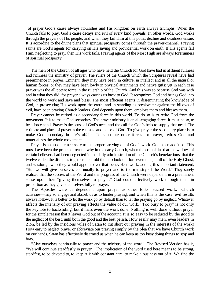of prayer God's cause always flourishes and His kingdom on earth always triumphs. When the Church fails to pray, God's cause decays and evil of every kind prevails. In other words, God works through the prayers of His people, and when they fail Him at this point, decline and deadness ensue. It is according to the divine plans that spiritual prosperity comes through the prayer-channel. Praying saints are God's agents for carrying on His saving and providential work on earth. If His agents fail Him, neglecting to pray, then His work fails. Praying agents of the Most High are always forerunners of spiritual prosperity.

The men of the Church of all ages who have held the Church for God have had in affluent fullness and richness the ministry of prayer. The rulers of the Church which the Scriptures reveal have had preeminence in prayer. Eminent, they may have been, in culture, in intellect and in all the natural or human forces; or they may have been lowly in physical attainments and native gifts; yet in each case prayer was the all potent force in the rulership of the Church. And this was so because God was with and in what they did, for prayer always carries us back to God. It recognizes God and brings God into the world to work and save and bless. The most efficient agents in disseminating the knowledge of God, in prosecuting His work upon the earth, and in standing as breakwater against the billows of evil, have been praying Church leaders. God depends upon them, employs them and blesses them.

Prayer cannot be retired as a secondary force in this world. To do so is to retire God from the movement. It is to make God secondary. The prayer ministry is an all-engaging force. It must be so, to be a force at all. Prayer is the sense of God's need and the call for God's help to supply that need. The estimate and place of prayer is the estimate and place of God. To give prayer the secondary place is to make God secondary in life's affairs. To substitute other forces for prayer, retires God and materializes the whole movement.

Prayer is an absolute necessity to the proper carrying on of God's work. God has made it so. This must have been the principal reason why in the early Church, when the complaint that the widows of certain believers had been neglected in the daily administration of the Church's benefactions, that the twelve called the disciples together, and told them to look out for seven men, "full of the Holy Ghost, and wisdom," who they would appoint over that benevolent work, adding this important statement, "But we will give ourselves continually to prayer and to the ministry of the Word." They surely realized that the success of the Word and the progress of the Church were dependent in a preeminent sense upon their "giving themselves to prayer." God could effectively work through them in proportion as they gave themselves fully to prayer.

The Apostles were as dependent upon prayer as other folks. Sacred work,—Church activities—may so engage and absorb us as to hinder praying, and when this is the case, evil results always follow. It is better to let the work go by default than to let the praying go by neglect. Whatever affects the intensity of our praying affects the value of our work. "Too busy to pray" is not only the keynote to backsliding, but it mars even the work done. Nothing is well done without prayer for the simple reason that it leaves God out of the account. It is so easy to be seduced by the good to the neglect of the best, until both the good and the best perish. How easily may men, even leaders in Zion, be led by the insidious wiles of Satan to cut short our praying in the interests of the work! How easy to neglect prayer or abbreviate our praying simply by the plea that we have Church work on our hands. Satan has effectively disarmed us when he can keep us too busy doing things to stop and bray.

³Give ourselves continually to prayer and the ministry of the word.´ The Revised Version has it, "We will continue steadfastly in prayer." The implication of the word used here means to be strong, steadfast, to be devoted to, to keep at it with constant care, to make a business out of it. We find the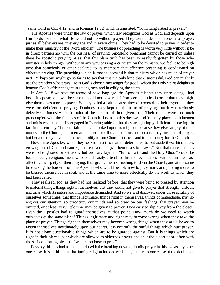same word in Col.  $4:12$ , and in Romans 12:12, which is translated, "Continuing instant in prayer."

The Apostles were under the law of prayer, which law recognizes God as God, and depends upon Him to do for them what He would not do without prayer. They were under the necessity of prayer, just as all believers are, in every age and in every clime. They had to be devoted to prayer in order to make their ministry of the Word efficient. The business of preaching is worth very little without it be in direct partnership with the business of praying. Apostolic preaching cannot be carried on unless there be apostolic praying. Alas, that this plain truth has been so easily forgotten by those who minister in holy things! Without in any way passing a criticism on the ministry, we feel it to be high time that somebody or other declared to its members that effective preaching is conditioned on effective praying. The preaching which is most successful is that ministry which has much of prayer in it. Perhaps one might go so far as to say that it is the only kind that *is* successful. God can mightily use the preacher who prays. He is God's chosen messenger for good, whom the Holy Spirit delights to honour, God's efficient agent in saving men and in edifying the saints.

In Acts 6:1-8 we have the record of how, long ago, the Apostles felt that they were losing—had lost—in apostolic power because they did not have relief from certain duties in order that they might give themselves more to prayer. So they called a halt because they discovered to their regret that they were too deficient in praying. Doubtless they kept up the form of praying, but it was seriously defective in intensity and in point of the amount of time given to it. Their minds were too much preoccupied with the finances of the Church. Just as in this day we find in many places both laymen and ministers are so busily engaged in "serving tables," that they are glaringly deficient in praying. In fact in present-day Church affairs men are looked upon as religious because they give largely of their money to the Church, and men are chosen for official positions not because they are men of prayer, but because they have the financial ability to run Church finances and to get money for the Church.

Now these Apostles, when they looked into this matter, determined to put aside these hindrances growing out of Church finances, and resolved to "give themselves to prayer." Not that these finances were to be ignored or set aside, but ordinary laymen, "full of faith and the Holy Ghost" could be found, really religious men, who could easily attend to this money business without in the least affecting their piety or their praying, thus giving them something to do in the Church, and at the same time taking the burden from the Apostles who would be able now to pray more, and praying more, to be blessed themselves in soul, and at the same time to more effectually do the work to which they had been called.

They realized, too, as they had not realized before, that they were being so pressed by attention to material things, things right in themselves, that they could not give to prayer that strength, ardour, and time which its nature and importance demanded. And so we will discover, under close scrutiny of ourselves sometimes, that things legitimate, things right in themselves, things commendable, may so engross our attention, so preoccupy our minds and so draw on our feelings, that prayer may be omitted, or at least very little time may be given to prayer. How easy to slip away from the closet! Even the Apostles had to guard themselves at that point. How much do we need to watch ourselves at the same place! Things legitimate and right may become wrong when they take the place of prayer. Things right in themselves may become wrong things when they are allowed to fasten themselves inordinately upon our hearts. It is not only the sinful things which hurt prayer. It is not alone questionable things which are to be guarded against. But it is things which are right in their places, but which are allowed to sidetrack prayer and shut the closet door, often with the self-comforting plea that "we are too busy to pray."

Possibly this has had as much to do with the breaking down of family prayer in this age as any other one cause. It is at this point that family religion has decayed, and just here is one cause of the decline of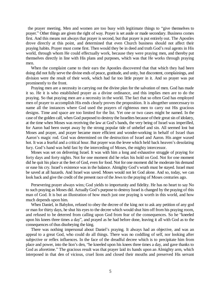the prayer meeting. Men and women are too busy with legitimate things to "give themselves to prayer." Other things are given the right of way. Prayer is set aside or made secondary. Business comes first. And this means not always that prayer is second, but that prayer is put entirely out. The Apostles drove directly at this point, and determined that even Church business should not affect their praying habits. Prayer must come first. Then would they be in deed and truth God's real agents in His world, through whom He could effectually work, because they were praying men, and thereby put themselves directly in line with His plans and purposes, which was that He works through praying men.

When the complaint came to their ears the Apostles discovered that that which they had been doing did not fully serve the divine ends of peace, gratitude, and unity, but discontent, complainings, and division were the result of their work, which had far too little prayer in it. And so prayer was put prominently to the front.

Praying men are a necessity in carrying out the divine plan for the salvation of men. God has made it so. He it is who established prayer as a divine ordinance, and this implies men are to do the praying. So that praying men are a necessity in the world. The fact that so often God has employed men of prayer to accomplish His ends clearly proves the proposition. It is altogether unnecessary to name all the instances where God used the prayers of righteous men to carry out His gracious designs. Time and space are too limited for the list. Yet one or two cases might be named. In the case of the golden calf, when God purposed to destroy the Israelites because of their great sin of idolatry, at the time when Moses was receiving the law at God's bands, the very being of Israel was imperilled, for Aaron had been swept away by the strong popular tide of unbelief and sin. All seemed lost but Moses and prayer, and prayer became more efficient and wonder-working in behalf of Israel than Aaron's magic rod. God was determined on the destruction of Israel and Aaron. His anger waxed hot. It was a fearful and a critical hour. But prayer was the levee which held back heaven's desolating fury. God's hand was held fast by the interceding of Moses, the mighty intercessor.

Moses was set on delivering Israel. It was with him a long and exhaustive struggle of praying for forty days and forty nights. Not for one moment did he relax his hold on God. Not for one moment did he quit his place at the feet of God, even for food. Not for one moment did he moderate his demand or ease his cry. Israel's existence was in the balance. Almighty God's wrath must be stayed. Israel must be saved at all hazards. And Israel was saved. Moses would not let God alone. And so, today, we can look back and give the credit of the present race of the Jews to the praying of Moses centuries ago.

Persevering prayer always wins; God yields to importunity and fidelity. He has no heart to say No to such praying as Moses did. Actually God's purpose to destroy Israel is changed by the praying of this man of God. It is but an illustration of how much just one praying is worth in this world, and how much depends upon him.

When Daniel, in Babylon, refused to obey the decree of the king not to ask any petition of any god or man for thirty days, he shut his eyes to the decree which would shut him off from his praying room, and refused to be deterred from calling upon God from fear of the consequences. So he "kneeled upon his knees three times a day´, and prayed as he had before done, leaving it all with God as to the consequences of thus disobeying the king.

There was nothing impersonal about Daniel's praying. It always had an objective, and was an appeal to a great God, who could do all things. There was no coddling of self, nor looking after subjective or reflex influences. In the face of the dreadful decree which is to precipitate him from place and power, into the lion's den, "he kneeled upon his knees three times a day, and gave thanks to God as aforetime." The gracious result was that prayer laid its hands upon an Almighty arm, which interposed in that den of vicious, cruel lions and closed their mouths and preserved His servant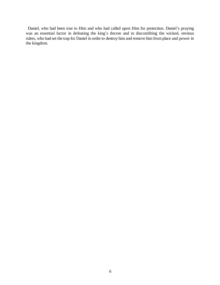Daniel, who had been true to Him and who had called upon Him for protection. Daniel's praying was an essential factor in defeating the king's decree and in discomfiting the wicked, envious rulers, who had set the trap for Daniel in order to destroy him and remove him from place and power in the kingdom.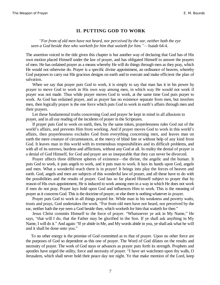## **II. PUTTING GOD TO WORK**

#### *³For from of old men have not heard, nor perceived by the ear, neither hath the eye seen a God beside thee who worketh for him that waiteth for him.*<sup>*''*—Isaiah 64:4.</sup>

The assertion voiced in the title given this chapter is but another way of declaring that God has of His own motion placed Himself under the law of prayer, and has obligated Himself to answer the prayers of men. He has ordained prayer as a means whereby He will do things through men as they pray, which He would not otherwise do. Prayer is a specific divine appointment, an ordinance of heaven, whereby God purposes to carry out His gracious designs on earth and to execute and make efficient the plan of salvation.

When we say that prayer puts God to work, it is simply to say that man has it in his power by prayer to move God to work in His own way among men, in which way He would not work if prayer was not made. Thus while prayer moves God to work, at the same time God puts prayer to work. As God has ordained prayer, and as prayer has no existence separate from men, but involves men, then logically prayer is the one force which puts God to work in earth's affairs through men and their prayers.

Let these fundamental truths concerning God and prayer be kept in mind in all allusions to prayer, and in all our reading of the incidents of prayer in the Scriptures.

If prayer puts God to work on earth, then, by the same token, prayerlessness rules God out of the world's affairs, and prevents Him from working. And if prayer moves God to work in this world's affairs, then prayerlessness excludes God from everything concerning men, and leaves man on earth the mere creature of circumstances, at the mercy of blind fate or without help of any kind from God. It leaves man in this world with its tremendous responsibilities and its difficult problems, and with all of its sorrows, burdens and afflictions, without any God at all. In reality the denial of prayer is a denial of God Himself, for God and prayer are so inseparable that they can never be divorced.

Prayer affects three different spheres of existence—the divine, the angelic and the human. It puts God to work, it puts angels to work, and it puts man to work. It lays its hands upon God, angels and men. What a wonderful reach there is in prayer! It brings into play the forces of heaven and earth. God, angels and men are subjects of this wonderful law of prayer, and all these have to do with the possibilities and the results of prayer. God has so far placed Himself subject to prayer that by reason of His own appointment, He is induced to work among men in a way in which He does not work if men do not pray. Prayer lays hold upon God and influences Him to work. This is the meaning of prayer as it concerns God. This is the doctrine of prayer, or else there is nothing whatever in prayer.

Prayer puts God to work in all things prayed for. While man in his weakness and poverty waits, trusts and prays, God undertakes the work. "For from old men have not heard, nor perceived by the ear, neither hath the eye seen a God beside thee, which worketh for him that waiteth for thee.´

Jesus Christ commits Himself to the force of prayer. "Whatsoever ye ask in My Name," He says, "that will I do, that the Father may be glorified in the Son. If ye shall ask anything in My Name, I will do it." And again: "If ye abide in Me, and My words abide in you, ye shall ask what he will and it shall be done unto you.´

To no other energy is the promise of God committed as to that of prayer. Upon no other force are the purposes of God so dependent as this one of prayer. The Word of God dilates on the results and necessity of prayer. The work of God stays or advances as prayer puts forth its strength. Prophets and apostles have urged the utility, force and necessity of prayer. "I have set watchmen upon thy walls, O Jerusalem, which shall never hold their peace day nor night. Ye that make mention of the Lord, keep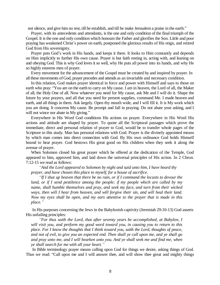not silence, and give him no rest, till he establish, and till he make Jerusalem a praise in the earth.´

Prayer, with its antecedents and attendants, is the one and only condition of the final triumph of the Gospel. It is the one and only condition which honours the Father and glorifies the Son. Little and poor praying has weakened Christ's power on earth, postponed the glorious results of His reign, and retired God from His sovereignty.

Prayer puts God's work in His hands, and keeps it there. It looks to Him constantly and depends on Him implicitly to further His own cause. Prayer is but faith resting in, acting with, and leaning on and obeying God. This is why God loves it so well, why He puts all power into its hands, and why He so highly esteems men of prayer.

Every movement for the advancement of the Gospel must be created by and inspired by prayer. In all these movements of God, prayer precedes and attends as an invariable and necessary condition.

In this relation, God makes prayer identical in force and power with Himself and says to those on earth who pray: "You are on the earth to carry on My cause. I am in heaven, the Lord of all, the Maker of all, the Holy One of all. Now whatever you need for My cause, ask Me and I will do it. Shape the future by your prayers, and all that you need for present supplies, command Me. I made heaven and earth, and all things in them. Ask largely. Open thy mouth wide, and I will fill it. It is My work which you are doing. It concerns My cause. Be prompt and fall in praying. Do not abate your asking, and I will not wince nor abate in My giving."

Everywhere in His Word God conditions His actions on prayer. Everywhere in His Word His actions and attitude are shaped by prayer. To quote all the Scriptural passages which prove the immediate, direct and personal relation of prayer to God, would be to transfer whole pages of the Scripture to this study. Man has personal relations with God. Prayer is the divinely appointed means by which man comes into direct connection with God. By His own ordinance God holds Himself bound to hear prayer. God bestows His great good on His children when they seek it along the avenue of prayer.

When Solomon closed his great prayer which he offered at the dedication of the Temple, God appeared to him, approved him, and laid down the universal principles of His action. In 2 Chron. 7:12-15 we read as follows:

*³And the Lord appeared to Solomon by night and said unto him, I have heard thy prayer, and have chosen this place to myself, for a house of sacrifice.*

*³If I shut up heaven that there be no rain, or if I command the locusts to devour the land, or if I send pestilence among the people; if my people which are called by my name, shall humble themselves and pray, and seek my face, and turn from their wicked ways, then will I hear from heaven, and will forgive their sin, and will heal their land. Now my eyes shall be open, and my ears attentive to the prayer that is made in this place.´*

In His purposes concerning the Jews in the Babylonish captivity (Jeremiah 29:10-13) God asserts His unfailing principles:

*³For thus saith the Lord, that after seventy years be accomplished, at Babylon, I will visit you, and perform my good word toward you, in causing you to return to this place. For I know the thoughts that I think toward you, saith the Lord, thoughts of peace, and not of evil, to give you an expected end. Then shall ye call upon me, and ye shall go and pray unto me, and I will hearken unto you. And ye shall seek me and find me, when ye shall search for me with all your heart.´*

In Bible terminology prayer means calling upon God for things we desire, asking things of God. Thus we read: "Call upon me and I will answer thee, and will show thee great and mighty things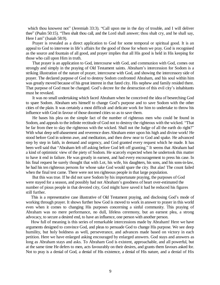which thou knowest not" (Jeremiah 33:3). "Call upon me in the day of trouble, and I will deliver thee" (Psalm 50:15). "Then shalt thou call, and the Lord shall answer; thou shalt cry, and he shall say, Here I am" (Isaiah 58:9).

Prayer is revealed as a direct application to God for some temporal or spiritual good. It is an appeal to God to intervene in life's affairs for the good of those for whom we pray. God is recognised as the source and fountain of all good, and prayer implies that all His good is held in His keeping for those who call upon Him in truth.

That prayer is an application to God, intercourse with God, and communion with God, comes out strongly and simply in the praying of Old Testament saints. Abraham's intercession for Sodom is a striking illustration of the nature of prayer, intercourse with God, and showing the intercessory side of prayer. The declared purpose of God to destroy Sodom confronted Abraham, and his soul within him was greatly moved because of his great interest in that fated city. His nephew and family resided there. That purpose of God must be changed. God's decree for the destruction of this evil city's inhabitants must be revoked.

It was no small undertaking which faced Abraham when he conceived the idea of beseeching God to spare Sodom. Abraham sets himself to change God's purpose and to save Sodom with the other cities of the plain. It was certainly a most difficult and delicate work for him to undertake to throw his influence with God in favour of those doomed cities so as to save them.

He bases his plea on the simple fact of the number of righteous men who could be found in Sodom, and appeals to the infinite rectitude of God not to destroy the righteous with the wicked. "That be far from thee to slay the righteous with the wicked. Shall not the Judge of all the earth do right?" With what deep self-abasement and reverence does Abraham enter upon his high and divine work! He stood before God in solemn awe, and meditation, and then drew near to God and spake. He advanced step by step in faith, in demand and urgency, and God granted every request which he made. It has been well said that "Abraham left off asking before God left off granting." It seems that Abraham had a kind of optimistic view of the piety of Sodom. He scarcely expected when he undertook this matter to have it end in failure. He was greatly in earnest, and had every encouragement to press his case. In his final request he surely thought that with Lot, his wife, his daughters, his sons, and his sons-in-law, he had his ten righteous persons for whose sake God would spare the city. But alas! The count failed when the final test came. There were not ten righteous people in that large population.

But this was true. If he did not save Sodom by his importunate praying, the purposes of God were stayed for a season, and possibly had not Abraham's goodness of heart over-estimated the number of pious people in that devoted city, God might have saved it had he reduced his figures still further.

This is a representative case illustrative of Old Testament praying, and disclosing God's mode of working through prayer. It shows further how God is moved to work in answer to prayer in this world even when it comes to changing His purposes concerning a sinful community. This praying of Abraham was no mere performance, no dull, lifeless ceremony, but an earnest plea, a strong advocacy, to secure a desired end, to have an influence, one person with another person.

How full of meaning is this series of remarkable intercessions made by Abraham! Here we have arguments designed to convince God, and pleas to persuade God to change His purpose. We see deep humility, but holy boldness as well, perseverance, and advances made based on victory in each petition. Here we have enlarged asking encouraged by enlarged answers. God stays and answers as long as Abraham stays and asks. To Abraham God is existent, approachable, and all powerful, but at the same time He defers to men, acts favourably on their desires, and grants them favours asked for. Not to pray is a denial of God, a denial of His existence, a denial of His nature, and a denial of His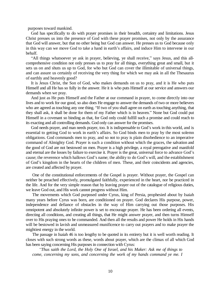purposes toward mankind.

God has specifically to do with prayer promises in their breadth, certainty and limitations. Jesus Christ presses us into the presence of God with these prayer promises, not only by the assurance that God will answer, but that no other being but God can answer. He presses us to God because only in this way can we move God to take a hand in earth's affairs, and induce Him to intervene in our behalf.

³All things whatsoever ye ask in prayer, believing, ye shall receive,´ says Jesus, and this allcomprehensive condition not only presses us to pray for all things, everything great and small, but it sets us on and shuts us up to God, for who but God can cover the illimitable of universal things, and can assure us certainly of receiving the very thing for which we may ask in all the Thesaurus of earthly and heavenly good?

It is Jesus Christ, the Son of God, who makes demands on us to pray, and it is He who puts Himself and all He has so fully in the answer. He it is who puts Himself at our service and answers our demands when we pray.

And just as He puts Himself and the Father at our command in prayer, to come directly into our lives and to work for our good, so also does He engage to answer the demands of two or more believers who are agreed as touching any one thing. "If two of you shall agree on earth as touching anything, that they shall ask, it shall be done for them of my Father which is in heaven.´ None but God could put Himself in a covenant so binding as that, for God only could fulfill such a promise and could reach to its exacting and all controlling demands. God only can answer for the promises.

God needs prayer, and man needs prayer, too. It is indispensable to God's work in this world, and is essential to getting God to work in earth's affairs. So God binds men to pray by the most solemn obligations. God commands men to pray, and so not to pray is plain disobedience to an imperative command of Almighty God. Prayer is such a condition without which the graces, the salvation and the good of God are not bestowed on men. Prayer is a high privilege, a royal prerogative and manifold and eternal are the losses by failure to exercise it. Prayer is the great, universal force to advance God's cause; the reverence which hallows God's name; the ability to do God's will, and the establishment of God's kingdom in the hearts of the children of men. These, and their coincidents and agencies, are created and affected by prayer.

One of the constitutional enforcements of the Gospel is prayer. Without prayer, the Gospel can neither be preached effectively, promulgated faithfully, experienced in the heart, nor be practiced in the life. And for the very simple reason that by leaving prayer out of the catalogue of religious duties, we leave God out, and His work cannot progress without Him.

The movements which God purposed under Cyrus, king of Persia, prophesied about by Isaiah many years before Cyrus was born, are conditioned on prayer. God declares His purpose, power, independence and defiance of obstacles in the way of Him carrying out those purposes. His omnipotent and absolutely infinite power is set to encourage prayer. He has been ordering all events, directing all conditions, and creating all things, that He might answer prayer, and then turns Himself over to His praying ones to be commanded. And then all the results and power He holds in His hands will be bestowed in lavish and unmeasured munificence to carry out prayers and to make prayer the mightiest energy in the world.

The passage in Isaiah 46 is too lengthy to be quoted in its entirety but it is well worth reading. It closes with such strong words as these, words about prayer, which are the climax of all which God has been saying concerning His purposes in connection with Cyrus:

*³Thus saith the Lord, the Holy One of Israel, and his Maker: Ask me of things to come, concerning my sons, and concerning the work of my hands command ye me. I*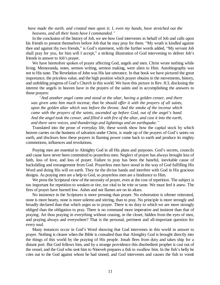#### *have made the earth, and created man upon it; I, even my hands, have stretched out the heavens, and all their hosts have I commanded.´*

In the conclusion of the history of Job, we see how God intervenes in behalf of Job and calls upon his friends to present themselves before Job that he may pray for them. "My wrath is kindled against thee and against thy two friends," is God's statement, with the further words added, "My servant Job" shall pray for you, for him will I accept," a striking illustration of God intervening to deliver Job's friends in answer to Job's prayer.

We have heretofore spoken of prayer affecting God, angels and men. Christ wrote nothing while living. Memoranda, notes, sermon writing, sermon making, were alien to Him. Autobiography was not to His taste. The Revelation of John was His last utterance. In that book we have pictured the great importance, the priceless value, and the high position which prayer obtains in the movements, history, and unfolding progress of God's Church in this world. We have this picture in Rev. 8:3, disclosing the interest the angels in heaven have in the prayers of the saints and in accomplishing the answers to those prayers:

*³And another angel came and stood at the altar, having a golden censer, and there was given unto him much incense, that he should offer it with the prayers of all saints, upon the golden altar which was before the throne. And the smoke of the incense which came with the prayers of the saints, ascended up before God, out of the angel's hand. And the angel took the censer, and filled it with fire of the altar, and cast it into the earth, and there were voices, and thunderings and lightnings and an earthquake.´*

Translated into the prose of everyday life, these words show how the capital stock by which heaven carries on the business of salvation under Christ, is made up of the prayers of God's saints on earth, and discloses how these prayers in flaming power come back to earth and produce its mighty commotions, influences and revolutions.

Praying men are essential to Almighty God in all His plans and purposes. God's secrets, councils and cause have never been committed to prayerless men. Neglect of prayer has always brought loss of faith, loss of love, and loss of prayer. Failure to pray has been the baneful, inevitable cause of backsliding and estrangement from God. Prayerless men have stood in the way of God fulfilling His Word and doing His will on earth. They tie the divine hands and interfere with God in His gracious designs. As praying men are a help to God, so prayerless men are a hindrance to Him.

We press the Scriptural view of the necessity of prayer, even at the cost of repetition. The subject is too important for repetition to weaken or tire, too vital to be trite or tame. We must feel it anew. The fires of prayer have burned low. Ashes and not flames are on its altars.

No insistence in the Scriptures is more pressing than prayer. No exhortation is oftener reiterated, none is more hearty, none is more solemn and stirring, than to pray. No principle is more strongly and broadly declared than that which urges us to prayer. There is no duty to which we are more strongly obliged than the obligation to pray. There is no command more imperative and insistent than that of praying. Art thou praying in everything without ceasing, in the closet, hidden from the eyes of men, and praying always and everywhere? That is the personal, pertinent and all-important question for every soul.

Many instances occur in God's Word showing that God intervenes in this world in answer to prayer. Nothing is clearer when the Bible is consulted than that Almighty God is brought directly into the things of this world by the praying of His people. Jonah flees from duty and takes ship for a distant port. But God follows him, and by a strange providence this disobedient prophet is cast out of the vessel, and the God who sent him to Nineveh prepares a fish to swallow him. In the fish's belly he cries out to the God against whom he had sinned, and God intervenes and causes the fish to vomit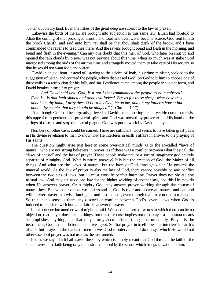Jonah out on dry land. Even the fishes of the great deep are subject to the law of prayer.

Likewise the birds of the air are brought into subjection to this same law. Elijah had foretold to Ahab the coming of that prolonged drouth, and food and even water became scarce. God sent him to the brook Cherith, and said unto him, "It shall be that thou shalt drink of the brook, and I have commanded the ravens to feed thee there. And the ravens brought bread and flesh in the morning, and bread and flesh in the evening." Can any one doubt that this man of God, who later on shut up and opened the rain clouds by prayer was not praying about this time, when so much was at stake? God interposed among the birds of the air this time and strangely moved them to take care of His servant so that he would not want food and water.

David in an evil hour, instead of listening to the advice of Joab, his prime minister, yielded to the suggestion of Satan, and counted the people, which displeased God. So God told him to choose one of three evils as a retribution for his folly and sin. Pestilence came among the people in violent form, and David betakes himself to prayer.

*³And David said unto God, Is it not I that commanded the people to be numbered? Even I it is that hath sinned and done evil indeed. But as for these sheep, what have they done? Let thy hand, I pray thee, O Lord my God, be on me, and on my father's house; but not on thy people, that they should be plagued´* (1 Chron. 21:17).

And though God had been greatly grieved at David for numbering Israel, yet He could not resist this appeal of a penitent and prayerful spirit, and God was moved by prayer to put His hand on the springs of disease and stop the fearful plague. God was put to work by David's prayer.

Numbers of other cases could be named. These are sufficient. God seems to have taken great pains in His divine revelation to men to show how He interferes in earth's affairs in answer to the praying of His saints.

The question might arise just here in some over-critical minds as to the so-called "laws of nature," who are not strong believers in prayer, as if there was a conflict between what they call the "laws of nature" and the law of prayer. These people make nature a sort of imaginary god entirely separate of Almighty God. What is nature anyway? It is but the creation of God, the Maker of all things. And what are the "laws of nature" but the laws of God, through which He governs the material world. As the law of prayer is also the law of God, there cannot possibly be any conflict between the two sets of laws, but all must work in perfect harmony. Prayer does not violate any natural law. God may set aside one law for the higher working of another law, and this He may do when He answers prayer. Or Almighty God may answer prayer working through the course of natural law. But whether or not we understand it, God is over and above all nature, and can and will answer prayer in a wise, intelligent and just manner, even though man may not comprehend it. So that in no sense is there any discord or conflict between God's several laws when God is induced to interfere with human affairs in answer to prayer.

In this connection another word might be said. We used the form of words to which there can be no objection, that prayer does certain things, but this of course implies not that prayer as a human means accomplishes anything, but that prayer only accomplishes things instrumentally. Prayer is the instrument, God is the efficient and active agent. So that prayer in itself does not interfere in earth's affairs, but prayer in the hands of men moves God to intervene and do things, which He would not otherwise do if prayer was not used as the instrument.

It is as we say, "faith hath saved thee," by which is simply meant that God through the faith of the sinner saves him, faith being only the instrument used by the sinner which brings salvation to him.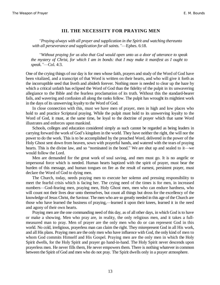#### **III. THE NECESSITY FOR PRAYING MEN**

*³Praying always with all prayer and supplication in the Spirit and watching thereunto with all perseverance and supplication for all saints.*<sup>*''*—Ephes. 6:18.</sup>

*³Without praying for us also that God would open unto us a door of utterance to speak the mystery of Christ, for which I am in bonds: that I may make it manifest as I ought to speak.*<sup>*''*</sup>—Col. 4:3.

One of the crying things of our day is for men whose faith, prayers and study of the Word of God have been vitalized, and a transcript of that Word is written on their hearts, and who will give it forth as the incorruptible seed that liveth and abideth forever. Nothing more is needed to clear up the haze by which a critical unfaith has eclipsed the Word of God than the fidelity of the pulpit in its unwavering allegiance to the Bible and the fearless proclamation of its truth. Without this the standard-bearer fails, and wavering and confusion all along the ranks follow. The pulpit has wrought its mightiest work in the days of its unswerving loyalty to the Word of God.

In close connection with this, must we have men of prayer, men in high and low places who hold to and practice Scriptural praying. While the pulpit must hold to its unswerving loyalty to the Word of God, it must, at the same time, be loyal to the doctrine of prayer which that same Word illustrates and enforces upon mankind.

Schools, colleges and education considered simply as such cannot be regarded as being leaders in carrying forward the work of God's kingdom in the world. They have neither the right, the will nor the power to do the work. This is to be accomplished by the preached Word, delivered in the power of the Holy Ghost sent down from heaven, sown with prayerful hands, and watered with the tears of praying hearts. This is the divine law, and so "nominated in the bond." We are shut up and sealed to it—we would follow the Lord.

Men are demanded for the great work of soul saving, and men must go. It is no angelic or impersonal force which is needed. Human hearts baptized with the spirit of prayer, must bear the burden of this message, and human tongues on fire as the result of earnest, persistent prayer, must declare the Word of God to dying men.

The Church, today, needs praying men to execute her solemn and pressing responsibility to meet the fearful crisis which is facing her. The crying need of the times is for men, in increased numbers—God-fearing men, praying men, Holy Ghost men, men who can endure hardness, who will count not their lives dear unto themselves, but count all things but dross for the excellency of the knowledge of Jesus Christ, the Saviour. The men who are so greatly needed in this age of the Church are those who have learned the business of praying,—learned it upon their knees, learned it in the need and agony of their own hearts.

Praying men are the one commanding need of this day, as of all other days, in which God is to have or make a showing. Men who pray are, in reality, the only religious men, and it takes a fullmeasured man to pray. Men of prayer are the only men who do or can represent God in this world. No cold, irreligious, prayerless man can claim the right. They misrepresent God in all His work, and all His plans. Praying men are the only men who have influence with God, the only kind of men to whom God commits Himself and His Gospel. Praying men are the only men in which the Holy Spirit dwells, for the Holy Spirit and prayer go hand-in-hand. The Holy Spirit never descends upon prayerless men. He never fills them, He never empowers them. There is nothing whatever in common between the Spirit of God and men who do not pray. The Spirit dwells only in a prayer atmosphere.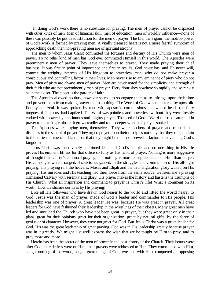In doing God's work there is no substitute for praying. The men of prayer cannot be displaced with other kinds of men. Men of financial skill, men of education; men of worldly influence—none of these can possibly be put in substitution for the men of prayer. The life, the vigour, the motive-power of God's work is formed by praying men. A vitally diseased heart is not a more fearful symptom of approaching death than non-praying men are of spiritual atrophy.

The men to whom Jesus Christ committed the fortunes and destiny of His Church were men of prayer. To no other kind of men has God ever committed Himself in this world. The Apostles were preeminently men of prayer. They gave themselves to prayer. They made praying their chief business. It was first in point of importance and first in results. God never has, and He never will, commit the weighty interests of His kingdom to prayerless men, who do not make prayer a conspicuous and controlling factor in their lives. Men never rise to any eminence of piety who do not pray. Men of piety are always men of prayer. Men are never noted for the simplicity and strength of their faith who are not preeminently men of prayer. Piety flourishes nowhere so rapidly and so rankly as in the closet. The closet is the garden of faith.

The Apostles allowed no duty, however sacred, to so engage them as to infringe upon their time and prevent them from making prayer the main thing. The Word of God was ministered by apostolic fidelity and zeal. It was spoken by men with apostolic commissions and whose heads the fiery tongues of Pentecost had baptized. The Word was pointless and powerless without they were freshly endued with power by continuous and mighty prayer. The seed of God's Word must be saturated in prayer to make it germinate. It grows readier and roots deeper when it is prayer-soaked.

The Apostles were praying men, themselves. They were teachers of prayer, and trained their disciples in the school of prayer. They urged prayer upon their disciples not only that they might attain to the loftiest eminence of faith, but that they might be the most powerful factors in advancing God's kingdom.

Jesus Christ was the divinely appointed leader of God's people, and no one thing in His life proves His eminent fitness for that office so fully as His habit of prayer. Nothing is more suggestive of thought than Christ's continual praying, and nothing is more conspicuous about Him than prayer. His campaigns were arranged, His victories gained, in the struggles and communion of His all-night praying. His praying rent the heavens. Moses and Elijah and the Transfiguration glory waited on His praying. His miracles and His teaching had their force from the same source. Gethsemane's praying crimsoned Calvary with serenity and glory. His prayer makes the history and hastens the triumphs of His Church. What an inspiration and command to prayer is Christ's life! What a comment on its worth! How He shames our lives by His praying!

Like all His followers who have drawn God nearer to the world and lifted the world nearer to God, Jesus was the man of prayer, made of God a leader and commander to His people. His leadership was one of prayer. A great leader He was, because He was great in prayer. All great leaders for God have fashioned their leadership in the wrestlings of their closets. Many great men have led and moulded the Church who have not been great in prayer, but they were great only in their plans, great for their opinions, great for their organization, great by natural gifts, by the force of genius or of character. However, they were not great for God. But Jesus Christ was a great leader for God. His was the great leadership of great praying. God was in His leadership greatly because prayer was in it greatly. We might just well express the wish that we be taught by Him to pray, and to pray more and more.

Herein has been the secret of the men of prayer in the past history of the Church. Their hearts were after God, their desires were on Him, their prayers were addressed to Him. They communed with Him, sought nothing of the world, sought great things of God, wrestled with Him, conquered all opposing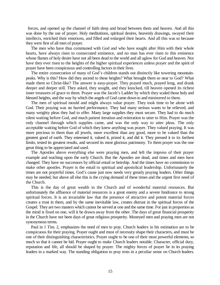forces, and opened up the channel of faith deep and broad between them and heaven. And all this was done by the use of prayer. Holy meditations, spiritual desires, heavenly drawings, swayed their intellects, enriched their emotions, and filled and enlarged their hearts. And all this was so because they were first of all men of prayer.

The men who have thus communed with God and who have sought after Him with their whole hearts, have always risen to consecrated eminence, and no man has ever risen to this eminence whose flames of holy desire have not all been dead to the world and all aglow for God and heaven. Nor have they ever risen to the heights of the higher spiritual experiences unless prayer and the spirit of prayer have been conspicuous and controlling factors in their lives.

The entire consecration of many of God's children stands out distinctly like towering mountainpeaks. Why is this? How did they ascend to these heights? What brought them so near to God? What made them so Christ-like? The answer is easy-prayer. They prayed much, prayed long, and drank deeper and deeper still. They asked, they sought, and they knocked, till heaven opened its richest inner treasures of grace to them. Prayer was the Jacob's Ladder by which they scaled those holy and blessed heights, and the way by which the angels of God came down to and ministered to them.

The men of spiritual mould and might always value prayer. They took time to be alone with God. Their praying was no hurried performance. They had many serious wants to be relieved, and many weighty pleas they had to offer. Many large supplies they must secure. They had to do much silent waiting before God, and much patient iteration and reiteration to utter to Him. Prayer was the only channel through which supplies came, and was the only way to utter pleas. The only acceptable waiting before God of which they knew anything was prayer. They valued praying. It was more precious to them than all jewels, more excellent than any good, more to be valued than the greatest good of earth. They esteemed it, valued it, prized it, and did it. They pressed it to its farthest limits, tested its greatest results, and secured its most glorious patrimony. To them prayer was the one great thing to be appreciated and used.

The Apostles above everything else were praying men, and left the impress of their prayer example and teaching upon the early Church. But the Apostles are dead, and times and men have changed. They have no successors by official entail or heirship. And the times have no commission to make other apostles. Prayer is the entail to spiritual and apostolical leadership. Unfortunately the times are not prayerful times. God's cause just now needs very greatly praying leaders. Other things may be needed, but above all else this is the crying demand of these times and the urgent first need of the Church.

This is the day of great wealth in the Church and of wonderful material resources. But unfortunately the affluence of material resources is a great enemy and a severe hindrance to strong spiritual forces. It is an invariable law that the presence of attractive and potent material forces creates a trust in them, and by the same inevitable law, creates distrust in the spiritual forces of the Gospel. They are two masters which cannot be served at one and the same time. For just in proportion as the mind is fixed on one, will it be drawn away from the other. The days of great financial prosperity in the Church have not been days of great religious prosperity. Moneyed men and praying men are not synonymous terms.

Paul in 1 Tim. 2, emphasizes the need of men to pray. Church leaders in his estimation are to be conspicuous for their praying. Prayer ought and must of necessity shape their characters, and must be one of their distinguishing characteristics. Prayer ought to be one of their most powerful elements, so much so that it cannot be hid. Prayer ought to make Church leaders notable. Character, official duty, reputation and life, all should be shaped by prayer. The mighty forces of prayer lie in its praying leaders in a marked way. The standing obligation to pray rests in a peculiar sense on Church leaders.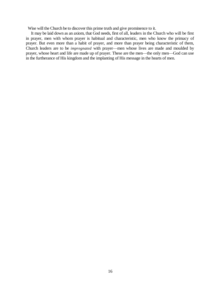Wise will the Church be to discover this prime truth and give prominence to it.

It may be laid down as an axiom, that God needs, first of all, leaders in the Church who will be first in prayer, men with whom prayer is habitual and characteristic, men who know the primacy of prayer. But even more than a habit of prayer, and more than prayer being characteristic of them, Church leaders are to be *impregnated* with prayer—men whose lives are made and moulded by prayer, whose heart and life are made up of prayer. These are the men—the only men—God can use in the furtherance of His kingdom and the implanting of His message in the hearts of men.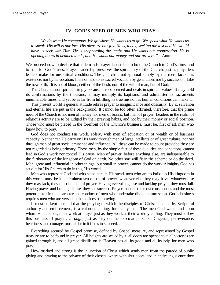#### **IV. GOD'S NEED OF MEN WHO PRAY**

*³We do what He commands. We go where He wants us to go. We speak what He wants us to speak. His will is our law. His pleasure our joy. He is, today, seeking the lost and He would have us seek with Him. He is shepherding the lambs and He wants our cooperation. He is opening doors in heathen lands, and He wants our money and our prayers.*<sup>*'*</sup>—Anon.

We proceed now to declare that it demands prayer-leadership to hold the Church to God's aims, and to fit it for God's uses. Prayer-leadership preserves the spirituality of the Church, just as prayerless leaders make for unspiritual conditions. The Church is not spiritual simply by the mere fact of its existence, nor by its vocation. It is not held to its sacred vocation by generation, nor by succession. Like the new birth, "It is not of blood, neither of the flesh, nor of the will of man, but of God."

The Church is not spiritual simply because it is concerned and deals in spiritual values. It may hold its confirmations by the thousand, it may multiply its baptisms, and administer its sacraments innumerable times, and yet be as far from fulfilling its true mission as human conditions can make it.

This present world's general attitude retires prayer to insignificance and obscurity. By it, salvation and eternal life are put in the background. It cannot be too often affirmed, therefore, that the prime need of the Church is not men of money nor men of brains, but men of prayer. Leaders in the realm of religious activity are to be judged by their praying habits, and not by their money or social position. Those who must be placed in the forefront of the Church's business, must be, first of all, men who know how to pray.

God does not conduct His work, solely, with men of education or of wealth or of business capacity. Neither can He carry on His work through men of large intellects or of great culture, nor yet through men of great social eminence and influence. All these can be made to count provided they are not regarded as being primary. These men, by the simple fact of these qualities and conditions, cannot lead in God's work nor control His cause. Men of prayer, before anything else, are indispensable to the furtherance of the kingdom of God on earth. No other sort will fit in the scheme or do the deed. Men, great and influential in other things, but small in prayer, cannot do the work Almighty God has set out for His Church to do in this, His world.

Men who represent God and who stand here in His stead, men who are to build up His kingdom in this world, must be in an eminent sense men of prayer. whatever else they may have, whatever else they may lack, they must be men of prayer. Having everything else and lacking prayer, they must fall. Having prayer and lacking all else, they can succeed. Prayer must be the most conspicuous and the most potent factor in the character and conduct of men who undertake divine commission. God's business requires men who are versed in the business of praying.

It must be kept in mind that the praying to which the disciples of Christ is called by Scriptural authority and enforcement, is a valorous calling, for manly men. The men God wants and upon whom He depends, must work at prayer just as they work at their worldly calling. They must follow this business of praying *through,* just as they do their secular pursuits. Diligence, perseverance, heartiness, and courage, must all be in it if it is to succeed.

Everything secured by Gospel promise, defined by Gospel measure, and represented by Gospel treasure are to be found in prayer. All heights are scaled by it, all doors are opened to it, all victories are gained through it, and all grace distills on it. Heaven has all its good and all its help for men who pray.

How marked and strong is the injunction of Christ which sends men from the parade of public giving and praying to the privacy of their closets, where with shut doors, and in encircling silence they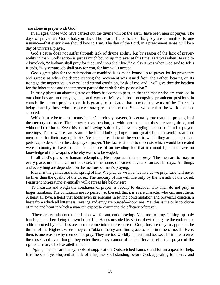are alone in prayer with God!

In all ages, those who have carried out the divine will on the earth, have been men of prayer. The days of prayer are God's halcyon days. His heart, His oath, and His glory are committed to one issuance—that every knee should bow to Him. The day of the Lord, in a preeminent sense, will be a day of universal prayer.

God's cause does not suffer through lack of divine ability, but by reason of the lack of prayerability in man. God's action is just as much bound up in prayer at this time, as it was when He said to Abimelech, "Abraham shall pray for thee, and thou shalt live." So also it was when God said to Job's friends, "My servant Job shall pray for you, for him will I accept."

God's great plan for the redemption of mankind is as much bound up to prayer for its prosperity and success as when the decree creating the movement was issued from the Father, bearing on its frontage the imperative, universal and eternal condition, "Ask of me, and I will give thee the heathen for thy inheritance and the uttermost part of the earth for thy possession.<sup>"</sup>

In many places an alarming state of things has come to pass, in that the many who are enrolled in our churches are not praying men and women. Many of those occupying prominent positions in church life are not praying men. It is greatly to be feared that much of the work of the Church is being done by those who are perfect strangers to the closet. Small wonder that the work does not succeed.

While it may be true that many in the Church say prayers, it is equally true that their praying is of the stereotyped order. Their prayers may be charged with sentiment, but they are tame, timid, and without fire or force. Even this sort of praying is done by a few straggling men to be found at prayermeetings. Those whose names are to be found bulking large in our great Church assemblies are not men noted for their praying habits. Yet the entire fabric of the work in which they are engaged has, perforce, to depend on the adequacy of prayer. This fact is similar to the crisis which would be created were a country to have to admit in the face of an invading foe that it cannot fight and have no knowledge of the weapons whereby war is to be waged.

In all God's plans for human redemption, He proposes that men *pray*. The men are to pray in every place, in the church, in the closet, in the home, on sacred days and on secular days. All things and everything are dependent on the measure of men's praying.

Prayer is the genius and mainspring of life. We pray as we live; we live as we pray. Life will never be finer than the quality of the closet. The mercury of life will rise only by the warmth of the closet. Persistent non-praying eventually will depress life below zero.

To measure and weigh the conditions of prayer, is readily to discover why men do not pray in larger numbers. The conditions are so perfect, so blessed, that it is a rare character who can meet them. A heart all love, a heart that holds even its enemies in loving contemplation and prayerful concern, a heart from which all bitterness, revenge and envy are purged—how rare! Yet this is the only condition of mind and heart in which a man can expect to command the efficacy of prayer.

There are certain conditions laid down for authentic praying. Men are to pray, "lifting up holy hands"; hands here being the symbol of life. Hands unsoiled by stains of evil doing are the emblem of a life unsoiled by sin. Thus are men to come into the presence of God, thus are they to approach the throne of the Highest, where they can "obtain mercy and find grace to help in time of need." Here, then, is one reason why men do not pray. They are too worldly in heart and too secular in life to enter the closet; and even though they enter there, they cannot offer the "fervent, effectual prayer of the righteous man, which availeth much.´

Again, "hands" are the symbols of supplication. Outstretched hands stand for an appeal for help. It is the silent yet eloquent attitude of a helpless soul standing before God, appealing for mercy and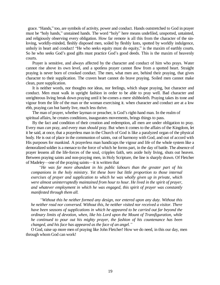grace. "Hands," too, are symbols of activity, power and conduct. Hands outstretched to God in prayer must be "holy hands," unstained hands. The word "holy" here means undefiled, unspotted, untainted, and religiously observing every obligation. How far remote is all this from the character of the sinloving, worldly-minded, fleshly disposed men, soiled by fleshly lusts, spotted by worldly indulgence, unholy in heart and conduct! "He who seeks equity must do equity," is the maxim of earthly courts. So he who seeks God's good gifts must practice God's good deeds. This is the maxim of heavenly courts.

Prayer is sensitive, and always affected by the character and conduct of him who prays. Water cannot rise above its own level, and a spotless prayer cannot flow from a spotted heart. Straight praying is never born of crooked conduct. The men, what men are, behind their praying, that gives character to their supplication. The craven heart cannot do brave praying. Soiled men cannot make clean, pure supplication.

It is neither words, nor thoughts nor ideas, nor feelings, which shape praying, but character and conduct. Men must walk in upright fashion in order to be able to pray well. Bad character and unrighteous living break down praying until it be-comes a mere shibboleth. Praying takes its tone and vigour from the life of the man or the woman exercising it. when character and conduct are at a low ebb, praying can but barely live, much less thrive.

The man of prayer, whether layman or preacher, is God's right-hand man. In the realm of spiritual affairs, he creates conditions, inaugurates movements, brings things to pass.

By the fact and condition of their creation and redemption, all men are under obligation to pray. Every man *can* pray, and every man *should* pray. But when it comes to the affairs of the Kingdom, let it be said, at once, that a prayerless man in the Church of God is like a paralyzed organ of the physical body. He is out of place in the communion of saints, out of harmony with God, and out of accord with His purposes for mankind. A prayerless man handicaps the vigour and life of the whole system like a demoralized soldier is a menace to the force of which he forms part, in the day of battle. The absence of prayer lessens all the life-forces of the soul, cripples faith, sets aside holy living, shuts out heaven. Between praying saints and non-praying men, in Holy Scripture, the line is sharply drawn. Of Fletcher of Madeley—one of the praying saints—it is written that

*³He was far more abundant in his public labours than the greater part of his companions in the holy ministry. Yet these bore but little proportion to those internal exercises of prayer and supplication to which he was wholly given up in private, which were almost uninterruptedly maintained from hour to hour. He lived in the spirit of prayer, and whatever employment in which he was engaged, this spirit of prayer was constantly manifested through them all.*

*³Without this he neither formed any design, nor entered upon any duty. Without this he neither read nor conversed. Without this, he neither visited nor received a visitor. There have been seasons of supplications in which he appeared to be carried out far beyond the ordinary limits of devotion, when, like his Lord upon the Mount of Transfiguration, while he continued to pour out his mighty prayer, the fashion of his countenance has been changed, and his face has appeared as the face of an angel.´*

O God, raise up more men of praying like John Fletcher! How we do need, in this our day, men through whom God can work!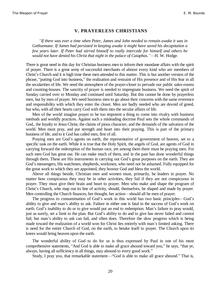#### **V. PRAYERLESS CHRISTIANS**

*³If there was ever a time when Peter, James and John needed to remain awake it was in Gethsemane. If James had persisted in keeping awake it might have saved his decapitation a few years later. If Peter had stirred himself to really intercede for himself and others he would not have denied his Christ that night in the palace of Caiaphas.*<sup>*'*</sup>—H. W. Hodge.

There is great need in this day for Christian business men to inform their mundane affairs with the spirit of prayer. There is a great army of successful merchants of almost every kind who are members of Christ's Church and it is high time these men attended to this matter. This is but another version of the phrase, "putting God into business," the realization and restraint of His presence and of His fear in all the secularities of life. We need the atmosphere of the prayer-closet to pervade our public sales-rooms and counting-houses. The sanctity of prayer is needed to impregnate business. We need the spirit of Sunday carried over to Monday and continued until Saturday. But this cannot be done by prayerless men, but by men of prayer. We need business men to go about their concerns with the same reverence and responsibility with which they enter the closet. Men are badly needed who are devoid of greed, but who, with all their hearts carry God with them into the secular affairs of life.

Men of the world imagine prayer to be too impotent a thing to come into rivalry with business methods and worldly practices. Against such a misleading doctrine Paul sets the whole commands of God,. the loyalty to Jesus Christ, the claims of pious character, and the demands of the salvation of the world. Men must pray, and put strength and heart into their praying. This is part of the primary business of life, and to it God has called men, first of all.

Praying men are God's agents on earth, the representative of government of heaven, set to a specific task on the earth. While it is true that the Holy Spirit, the angels of God, are agents of God in carrying forward the redemption of the human race, yet among them there must be praying men. For such men God has great use. He can make much of them, and in the past has done wonderful things through them. These are His instruments in carrying out God's great purposes on the earth. They are God's messengers, His watchmen, shepherds, workmen, who need not be ashamed. Fully equipped for the great work to which they are appointed, they honour God and bless the world.

Above all things beside, Christian men and women must, primarily, be leaders in prayer. No matter how conspicuous they may be in other activities, they fail if they are not conspicuous in prayer. They must give their brain and heart to prayer. Men who make and shape the program of Christ's Church, who map out its line of activity, should, themselves, be shaped and made by prayer. Men controlling the Church finances, her thought, her action—should all be men of prayer.

The progress to consummation of God's work in this world has two basic principles—God's ability to give and man's ability to ask. Failure in either one is fatal to the success of God's work on earth. God's inability to do or to give would put an end to redemption. Man's failure to pray would, just as surely, set a limit to the plan. But God's ability to do and to give has never failed and *cannot* fail; but man's ability to ask can fail, and often does. Therefore the slow progress which is being made toward the realization of a world won for Christ lies entirely with man's limited asking. There is need for the entire Church of God, on the earth, to betake itself to prayer. The Church upon its knees would bring heaven upon the earth.

The wonderful ability of God to do for us is thus expressed by Paul in one of his most comprehensive statements, "And God is able to make all grace abound toward you," he says, "that ye, always, having all sufficiency in all things, may abound to every good work.´

Study, I pray you, that remarkable statement—"God is able to make all grace abound." That is,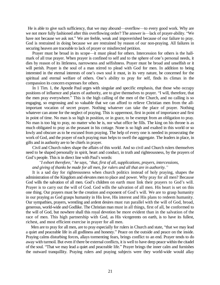He is able to give such sufficiency, that we may abound—overflow—to every good work. Why are we not more fully fashioned after this overflowing order? The answer is—lack of prayer-ability. "We have not because we ask not." We are feeble, weak and impoverished because of our failure to pray. God is restrained in doing because we are restrained by reason of our non-praying. All failures in securing heaven are traceable to lack of prayer or misdirected petition.

Prayer must be broad in its scope—it must plead for others. Intercession for others is the hallmark of all true prayer. When prayer is confined to self and to the sphere of one's personal needs, it dies by reason of its littleness, narrowness and selfishness. Prayer must be broad and unselfish or it will perish. Prayer is the soul of a man stirred to plead with God for men. In addition to being interested in the eternal interests of one's own soul it must, in its very nature, be concerned for the spiritual and eternal welfare of others. One's ability to pray for self, finds its climax in the compassion its concern expresses for others.

In 1 Tim. 1, the Apostle Paul urges with singular and specific emphasis, that those who occupy positions of influence and places of authority, are to give themselves to prayer. "I will, therefore, that the men pray everywhere.<sup>"</sup> This is the high calling of the men of the Church, and no calling is so engaging, so engrossing and so valuable that we can afford to relieve Christian men from the allimportant vocation of secret prayer. Nothing whatever can take the place of prayer. Nothing whatever can atone for the neglect of praying. This is uppermost, first in point of importance and first in point of time. No man is so high in position, or in grace, to be exempt from an obligation to pray. No man is too big to pray, no matter who he is, nor what office he fills. The king on his throne is as much obligated to pray as the peasant in his cottage. None is so high and exalted in this world or so lowly and obscure as to be excused from praying. The help of every one is needed in prosecuting the work of God, and the prayer of each praying man helps to swell the aggregate. The leaders in place, in gifts and in authority are to be chiefs in prayer.

Civil and Church rulers shape the affairs of this world. And so civil and Church rulers themselves need to be shaped personally in spirit, heart and conduct, in truth and righteousness, by the prayers of God's people. This is in direct line with Paul's words:

## *³I exhort therefore,´ he says, ³that, first of all, supplications, prayers, intercessions, and giving of thanks be made for all men, for rulers and all that are in authority.´*

It is a sad day for righteousness when church politics instead of holy praying, shapes the administration of the Kingdom and elevates men to place and power. Why pray for all men? Because God wills the salvation of all men. God's children on earth must link their prayers to God's will. Prayer is to carry out the will of God. God wills the salvation of all men. His heart is set on this one thing. Our prayers must be the creation and exponent of God's will. We are to grasp humanity in our praying as God grasps humanity in His love, His interest and His plans to redeem humanity. Our sympathies, prayers, wrestling and ardent desires must run parallel with the will of God, broad, generous, world-wide and Godlike. The Christian man must in all things, first of all, be conformed to the will of God, but nowhere shall this royal devotion be more evident than in the salvation of the race of men. This high partnership with God, as His vicegerents on earth, is to have its fullest, richest, and most efficient exercise in prayer for all men.

Men are to pray for all men, are to pray especially for rulers in Church and state, "that we may lead a quiet and peaceable life in all godliness and honesty.´ Peace on the outside and peace on the inside. Praying calms disturbing forces, allays tormenting fears, brings conflict to an end. Prayer tends to do away with turmoil. But even if there be external conflicts, it is well to have deep peace within the citadel of the soul. "That we may lead a quiet and peaceable life." Prayer brings the inner calm and furnishes the outward tranquillity. Praying rulers and praying subjects were they world-wide would allay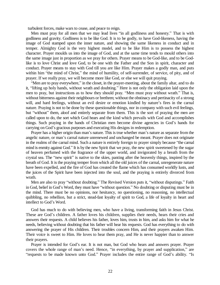turbulent forces, make wars to cease, and peace to reign.

Men must pray for all men that we may lead lives "in all godliness and honesty." That is with godliness and gravity. Godliness is to be like God. It is to be godly, to have God-likeness, having the image of God stamped upon the inner nature, and showing the same likeness in conduct and in temper. Almighty God is the very highest model, and to be like Him is to possess the highest character. Prayer moulds us into the image of God, and at the same time tends to mould others into the same image just in proportion as we pray for others. Prayer means to be God-like, and to be Godlike is to love Christ and love God, to be one with the Father and the Son in spirit, character and conduct. Prayer means to stay with God till you are like Him. Prayer makes a godly man, and puts within him "the mind of Christ," the mind of humility, of self-surrender, of service, of pity, and of prayer. If we really pray, we will become more like God, or else we will quit praying.

"Men are to pray everywhere," in the closet, in the prayer-meeting, about the family altar, and to do it, "lifting up holy hands, without wrath and doubting." Here is not only the obligation laid upon the men to pray, but instructions as to how they should pray. "Men must pray without wrath." That is, without bitterness against their neighbours or brethren; without the obstinacy and pertinacity of a strong will, and hard feelings, without an evil desire or emotion kindled by nature's fires in the carnal nature. Praying is not to be done by these questionable things, nor in company with such evil feelings, but "without" them, aloof and entirely separate from them. This is the sort of praying the men are called upon to do, the sort which God hears and the kind which prevails with God and accomplishes things. Such praying in the hands of Christian men become divine agencies in God's hands for carrying on God's gracious purposes and executing His designs in redemption.

Prayer has a higher origin than man's nature. This is true whether man's nature as separate from the angelic nature, or man's carnal nature unrenewed and unchanged be meant. Prayer does not originate in the realms of the carnal mind. Such a nature is entirely foreign to prayer simply because "the carnal" mind is enmity against God." It is by the new Spirit that we pray, the new spirit sweetened by the sugar of heaven perfumed with the fragrance of the upper world, and invigorated by a breath from the crystal sea. The "new spirit" is native to the skies, panting after the heavenly things, inspired by the breath of God. It is the praying temper from which all the old juices of the carnal, unregenerate nature have been expelled, and the fire of God has created the flame which has consumed worldly lusts, and the juices of the Spirit have been injected into the soul, and the praying is entirely divorced from wrath.

Men are also to pray "without doubting." The Revised Version puts it, "without disputings." Faith in God, belief in God's Word, they must have "without question." No doubting or disputing must be in the mind. There must be no opinions, nor hesitancy, no questioning, no reasoning, no intellectual quibbling, no rebellion, but a strict, stead-fast loyalty of spirit to God, a life of loyalty in heart and intellect to God's Word.

God has much to do with believing men, who have a living, transforming faith in Jesus Christ. These are God's children. A father loves his children, supplies their needs, hears their cries and answers their requests. A child believes his father, loves him, trusts in him, and asks him for what he needs, believing without doubting that his father will hear his requests. God has everything to do with answering the prayer of His children. Their troubles concern Him, and their prayers awaken Him. Their voice is sweet to Him. He loves to hear them pray, and He is never happier than to answer their prayers.

Prayer is intended for God's ear. It is not man, but God who hears and answers prayer. Prayer covers the whole range of man's need. Hence, "in everything, by prayer and supplication," are "requests to be made known unto God." Prayer includes the entire range of God's ability. "Is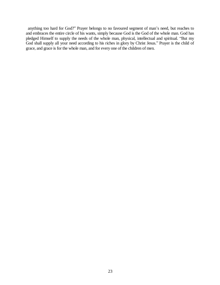anything too hard for God?" Prayer belongs to no favoured segment of man's need, but reaches to and embraces the entire circle of his wants, simply because God is the God of the whole man. God has pledged Himself to supply the needs of the whole man, physical, intellectual and spiritual. "But my God shall supply all your need according to his riches in glory by Christ Jesus.<sup>"</sup> Prayer is the child of grace, and grace is for the whole man, and for every one of the children of men.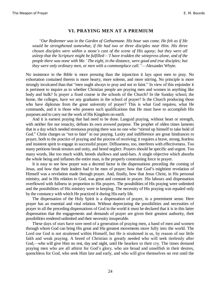#### **VI. PRAYING MEN AT A PREMIUM**

*³Our Redeemer was in the Garden of Gethsemane. His hour was come. He felt as if He would be strengthened somewhat, if He had two or three disciples near Him. His three chosen disciples were within a stone*'s cast of the scene of His agony; but they were all *asleep that the Scripture might be fulfilled²µI have trodden the winepress alone, and of the people there was none with Me.¶ The eight, in the distance, were good and true disciples; but they were only ordinary men, or men with a commonplace call.*<sup>*'*</sup>—Alexander Whyte.

No insistence in the Bible is more pressing than the injunction it lays upon men to pray. No exhortation contained therein is more hearty, more solemn, and more stirring. No principle is more strongly inculcated than that "men ought always to pray and not to faint." In view of this enjoinder it is pertinent to inquire as to whether Christian people are praying men and women in anything like body and bulk? Is prayer a fixed course in the schools of the Church? In the Sunday school, the home, the colleges, have we any graduates in the school of prayer? Is the Church producing those who have diplomas from the great university of prayer? This is what God requires, what He commands, and it is those who possess such qualifications that He must have to accomplish His purposes and to carry out the work of His Kingdom on earth.

And it is earnest praying that had need to be done. Languid praying, without heart or strength, with neither fire nor tenacity, defeats its own avowed purpose. The prophet of olden times laments that in a day which needed strenuous praying there was no one who "stirred up himself to take hold of God." Christ charges us "not to faint" in our praying. Laxity and indifference are great hindrances to prayer, both to the practice of praying and the process of receiving; it requires a brave, strong, fearless and insistent spirit to engage in successful prayer. Diffuseness, too, interferes with effectiveness. Too many petitions break tension and unity, and breed neglect. Prayers should be specific and urgent. Too many words, like too much width, breeds shallows and sand-bars. A single objective which absorbs the whole being and inflames the entire man, is the properly constraining force in prayer.

It is easy to see how prayer was a decreed factor in the dispensations preceding the coming of Jesus, and how that their leaders had to be men of prayer; how that God's mightiest revelation of Himself was a revelation made through prayer. And, finally, how that Jesus Christ, in His personal ministry, and in His relation to God, was great and constant in prayer. His labours and dispensation overflowed with fullness in proportion to His prayers. The possibilities of His praying were unlimited and the possibilities of His ministry were in keeping. The necessity of His praying was equaled only by the constancy with which He practiced it during His early life.

The dispensation of the Holy Spirit is a dispensation of prayer, in a preeminent sense. Here prayer has an essential and vital relation. Without depreciating the possibilities and necessities of prayer in all the preceding dispensations of God in the world it must be declared that it is in this latter dispensation that the engagements and demands of prayer are given their greatest authority, their possibilities rendered unlimited and their necessity insuperable.

These days of ours have sore need of a generation of praying men, a band of men and women through whom God can bring His great and His greatest movements more fully into the world. The Lord our God is not straitened within Himself, but He *is* straitened in us, by reason of our little faith and weak praying. A breed of Christian is greatly needed who will seek tirelessly after God,—who will give Him no rest, day and night, until He hearken to their cry. The times demand praying men who are all athirst for God's glory, who are broad and unselfish in their desires, quenchless for God, who seek Him late and early, and who will give themselves no rest until the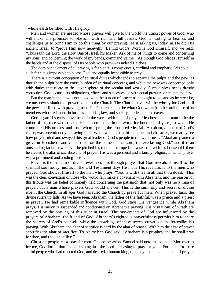whole earth be filled with His glory.

Men and women are needed whose prayers will give to the world the utmost power of God; who will make His promises to blossom with rich and full results. God is waiting to hear us and challenges us to bring Him to do this thing by our praying. He is asking us, today, as He did His ancient Israel, to "prove Him now herewith." Behind God's Word is God Himself, and we read: ³Thus saith the Lord, the Holy One of Israel, his Maker: Ask of me of things to come and concerning my sons, and concerning the work of my bands, command ye me.´ As though God places Himself in the hands and at the disposal of His people who pray—as indeed He does.

The dominant element of all praying is faith, that is conspicuous, cardinal and emphatic. Without such faith it is impossible to please God, and equally impossible to pray.

There is a current conception of spiritual duties which tends to separate the pulpit and the pew, as though the pulpit bore the entire burden of spiritual concerns, and while the pew was concerned only with duties that relate to the lower sphere of the secular and worldly. Such a view needs drastic correction. God's cause, its obligations, efforts and successes, lie with equal pressure on pulpit and pew.

But the man in the pew is not taxed with the burden of prayer as he ought to be, and as he *must* be, ere any new visitation of power come to the Church. The Church never will be wholly for God until the pews are filled with praying men. The Church cannot be what God wants it to be until those of its members who are leaders in business, politics, law, and society, are leaders in prayer.

God began His early movements in the world with men of prayer. He chose such a man to be the father of that race who became His chosen people in the world for hundreds of years, to whom He committed His oracles, and from whom sprang the Promised Messiah. Abraham, a leader of God's cause, was preeminently a praying man. When we consider his conduct and character, we readily see how prayer ruled and swayed this great leader of God's people in the wilderness. "Abraham planted a grove in Beersheba, and called there on the name of the Lord, the everlasting God," and it is an outstanding fact that wherever he pitched his tent and camped for a season, with his household, there he erected the altar of sacrifice and of prayer. His was a personal and a family religion, in which prayer was a prominent and abiding factor.

Prayer is the medium of divine revelation. It is through prayer that God reveals Himself to the spiritual soul today, just as in the Old Testament days He made His revelations to the men who prayed. God shows Himself to the man who prays. "God is with thee in all that thou doest." This was the clear conviction of those who would fain make a covenant with Abraham, and the reason for this tribute was the belief commonly held concerning the patriarch that, not only was he a man of prayer, but a man whose prayers God would answer. This is the summary and secret of divine rule in the Church. In all ages God has ruled the Church by prayerful men. When prayer fails, the divine rulership falls. As we have seen, Abraham, the father of the faithful, was a prince and a priest in prayer. He had remarkable influence with God. God stays His vengeance while Abraham prays. His mercy is suspended and conditioned on Abraham's praying. His visitations of wrath are removed by the praying of this ruler in Israel. The movements of God are influenced by the prayers of Abraham, the friend of God. Abraham's righteous prayerfulness permits him to share the secrets of God's counsels, while the knowledge of these secrets draws out and intensifies his praying. With Abraham, the altar of sacrifice is hard by the altar of prayer. With him the altar of prayer sanctifies the altar of sacrifice. To Abimelech God said, "Abraham is a prophet, and he shall pray for thee, and thou shalt live."

Christian people *must* pray for men. On one occasion, Samuel said unto the people, "Moreover as for me, God forbid that I should sin against the Lord in ceasing to pray for you." Fortunate for these sinful people who had rejected God, and desired a human king, that they had in Israel a man of prayer.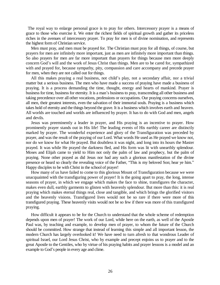The royal way to enlarge personal grace is to pray for others. Intercessory prayer is a means of grace to those who exercise it. We enter the richest fields of spiritual growth and gather its priceless riches in the avenues of intercessory prayer. To pray for men is of divine nomination, and represents the highest form of Christian service.

Men must pray, and men must be prayed for. The Christian must pray for all things, of course, but prayers for men are infinitely more important, just as men are infinitely more important than things. So also prayers for men are far more important than prayers for things because men more deeply concern God's will and the work of Jesus Christ than things. Men are to be cared for, sympathized with and prayed for, because sympathy, pity, compassion and care accompany and precede prayer for men, when they are not called out for things.

All this makes praying a real business, not child's play, not a secondary affair, nor a trivial matter but a serious business. The men who have made a success of praying have made a business of praying. It is a process demanding the time, thought, energy and hearts of mankind. Prayer is business for time, business for eternity. It is a man's business to pray, transcending all other business and taking precedence over all other vocations, professions or occupations. Our praying concerns ourselves, all men, their greatest interests, even the salvation of their immortal souls. Praying is a business which takes hold of eternity and the things beyond the grave. It is a business which involves earth and heaven. All worlds are touched and worlds are influenced by prayer. It has to do with God and men, angels and devils.

Jesus was preeminently a leader in prayer, and His praying is an incentive to prayer. How prominently prayer stands out in His life! The leading events of His earthly career are distinctly marked by prayer. The wonderful experience and glory of the Transfiguration was preceded by prayer, and was the result of the praying of our Lord. What words He used as He prayed we know not, nor do we know for what He prayed. But doubtless it was night, and long into its hours the Master prayed. It was while He prayed the darkness fled, and His form was lit with unearthly splendour. Moses and Elijah came to yield to Him not only the palm of law and prophecy, but the palm of praying. None other prayed as did Jesus nor had any such a glorious manifestation of the divine presence or heard so clearly the revealing voice of the Father, "This is my beloved Son; hear ye him." Happy disciples to be with Christ in the school of prayer!

How many of us have failed to come to this glorious Mount of Transfiguration because we were unacquainted with the transfiguring power of prayer! It is the going apart to pray, the long, intense seasons of prayer, in which we engage which makes the face to shine, transfigures the character, makes even dull, earthly garments to glisten with heavenly splendour. But more than this: it is real praying which makes eternal things real, close and tangible, and which brings the glorified visitors and the heavenly visions. Transfigured lives would not be so rare if there were more of this transfigured praying. These heavenly visits would not be so few if there was more of this transfigured praying.

How difficult it appears to be for the Church to understand that the whole scheme of redemption depends upon men of prayer! The work of our Lord, while here on the earth, as well of the Apostle Paul was, by teaching and example, to develop men of prayer, to whom the future of the Church should be committed. How strange that instead of learning this simple and all important lesson, the modern Church has largely overlooked it! We have need to turn afresh to that wondrous Leader of spiritual Israel, our Lord Jesus Christ, who by example and precept enjoins us to prayer and to the great Apostle to the Gentiles, who by virtue of his praying habits and prayer lessons is a model and an example to God's people in every age and clime.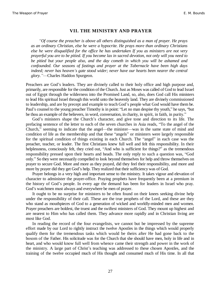#### **VII. THE MINISTRY AND PRAYER**

*³Of course the preacher is above all others distinguished as a man of prayer. He prays as an ordinary Christian, else he were a hypocrite. He prays more than ordinary Christians else he were disqualified for the office he has undertaken If you as ministers are not very prayerful you are to be pitied. If you become lax in sacred devotion, not only will you need to be pitied but your people also, and the day cometh in which you will be ashamed and confounded. Our seasons of fastings and prayer at the Tabernacle have been high days indeed; never has heaven's gate stood wider; never have our hearts been nearer the central glory.´*²Charles Haddon Spurgeon.

Preachers are God's leaders. They are divinely called to their holy office and high purpose and, primarily, are responsible for the condition of the Church. Just as Moses was called of God to lead Israel out of Egypt through the wilderness into the Promised Land, so, also, does God call His ministers to lead His spiritual Israel through this world unto the heavenly land. They are divinely commissioned to leadership, and are by precept and example to teach God's people what God would have them be. Paul's counsel to the young preacher Timothy is in point: "Let no man despise thy youth," he says, "but be thou an example of the believers, in word, conversation, in charity, in spirit, in faith, in purity.´

God's ministers shape the Church's character, and give tone and direction to its life. The prefacing sentence of the letter to each of the seven churches in Asia reads, "To the angel of the Church," seeming to indicate that the angel—the minister—was in the same state of mind and condition of life as the membership and that these "angels" or ministers were largely responsible for the spiritual condition of things existing in each Church. The "angel" in each case was the preacher, teacher, or leader. The first Christians knew full well and felt this responsibility. In their helplessness, consciously felt, they cried out, "And who is sufficient for things?" as the tremendous responsibility pressed upon their hearts and heads. The only reply to such a question was, "God only.´ So they were necessarily compelled to look beyond themselves for help and throw themselves on prayer to secure God. More and more as they prayed, did they feel their responsibility, and more and more by prayer did they get God's help. They realized that their sufficiency was of God.

Prayer belongs in a very high and important sense to the ministry. It takes vigour and elevation of character to administer the prayer-office. Praying prophets have frequently been at a premium in the history of God's people. In every age the demand has been for leaders in Israel who pray. God's watchmen must always and everywhere be men of prayer.

It ought to be no surprise for ministers to be often found on their knees seeking divine help under the responsibility of their call. These are the true prophets of the Lord, and these are they who stand as mouthpieces of God to a generation of wicked and worldly-minded men and women. Prayer preachers are boldest, the truest and the swiftest ministers of God. They mount up highest and are nearest to Him who has called them. They advance more rapidly and in Christian living are most like God.

In reading the record of the four evangelists, we cannot but be impressed by the supreme effort made by our Lord to rightly instruct the twelve Apostles in the things which would properly qualify them for the tremendous tasks which would be theirs after He had gone back to the bosom of the Father. His solicitude was for the Church that she should have men, holy in life and in heart, and who would know full well from whence came their strength and power in the work of the ministry. A large part of Christ's teaching was addressed to these chosen Apostles, and the training of the twelve occupied much of His thought and consumed much of His time. In all that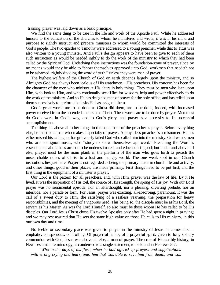training, prayer was laid down as a basic principle.

We find the same thing to be true in the life and work of the Apostle Paul. While he addressed himself to the edification of the churches to whom he ministered and wrote, it was in his mind and purpose to rightly instruct and prepare ministers to whom would be committed the interests of God's people. The two epistles to Timothy were addressed to a young preacher, while that to Titus was also written to a young minister. And Paul's design appears to have been to give to each of them such instruction as would be needed rightly to do the work of the ministry to which they had been called by the Spirit of God. Underlying these instructions was the foundation-stone of prayer, since by no means would they be able to "show themselves approved unto God, workmen that needeth not to be ashamed, rightly dividing the word of truth," unless they were men of prayer.

The highest welfare of the Church of God on earth depends largely upon the ministry, and so Almighty God has always been jealous of His watchmen—His preachers. His concern has been for the character of the men who minister at His altars in holy things. They must be men who lean upon Him, who look to Him, and who continually seek Him for wisdom, help and power effectively to do the work of the ministry. And so He has designed men of prayer for the holy office, and has relied upon them successively to perform the tasks He has assigned them.

God's great works are to be done as Christ did them; are to be done, indeed, with increased power received from the ascended and exalted Christ. These works are to be done by prayer. Men must do God's work in God's way, and to God's glory, and prayer is a necessity to its successful accomplishment.

The thing far above all other things in the equipment of the preacher is prayer. Before everything else, he must be a man who makes a specialty of prayer. A prayerless preacher is a misnomer. He has either missed his calling, or has grievously failed God who called him into the ministry. God wants men who are not ignoramuses, who "study to show themselves approved." Preaching the Word is essential; social qualities are not to be underestimated, and education is good; but under and above all else, prayer must be the main plank in the platform of the man who goes forth to preach the unsearchable riches of Christ to a lost and hungry world. The one weak spot in our Church institutions lies just here. Prayer is not regarded as being the primary factor in church life and activity, and other things, good in their places, are made primary. First things need to be put first, and the first thing in the equipment of a minister is prayer.

Our Lord is the pattern for all preachers, and, with Him, prayer was the law of life. By it He lived. It was the inspiration of His toil, the source of His strength, the spring of His joy. With our Lord prayer was no sentimental episode, nor an afterthought, nor a pleasing, diverting prelude, nor an interlude, nor a parade or form. For Jesus, prayer was exacting, all-absorbing, paramount. It was the call of a sweet duty to Him, the satisfying of a restless yearning, the preparation for heavy responsibilities, and the meeting of a vigorous need. This being so, the disciple must be as his Lord, the servant as his Master. As was the Lord Himself, so also must be those whom He has called to be His disciples. Our Lord Jesus Christ chose His twelve Apostles only after He had spent a night in praying; and we may rest assured that He sets the same high value on those He calls to His ministry, in this our own day and time.

No feeble or secondary place was given to prayer in the ministry of Jesus. It comes first emphatic, conspicuous, controlling. Of prayerful habits, of a prayerful spirit, given to long solitary communion with God, Jesus was above all else, a man of prayer. The crux of His earthly history, in New Testament terminology, is condensed to a single statement, to be found in Hebrews 5:7:

*³Who in the days of his flesh, when he had offered up prayers and supplications with strong crying and tears, unto him that was able to save him from death, and was*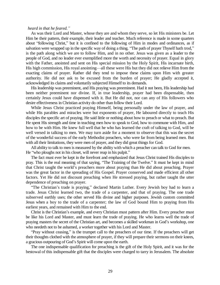#### *heard in that he feared.´*

As was their Lord and Master, whose they are and whom they serve, so let His ministers be. Let Him be their pattern, their example, their leader and teacher. Much reference is made in some quarters about "following Christ," but it is confined to the following of Him in modes and ordinances, as if salvation were wrapped up in the specific way of doing a thing. "The path of prayer Thyself hath trod," is the path along which we are to follow Him, and in no other. Jesus was given as a leader to the people of God, and no leader ever exemplified more the worth and necessity of prayer. Equal in glory with the Father, anointed and sent on His special mission by the Holy Spirit, His incarnate birth, His high commission, His royal anointing—all these were His but they did not relieve Him from the exacting claims of prayer. Rather did they tend to impose these claims upon Him with greater authority. He did not ask to be excused from the burden of prayer; He gladly accepted it, acknowledged its claims and voluntarily subjected Himself to its demands.

His leadership was preeminent, and His praying was preeminent. Had it not been, His leadership had been neither preeminent nor divine. If, in true leadership, prayer had been dispensable, then certainly Jesus could have dispensed with it. But He did not, nor can any of His followers who desire effectiveness in Christian activity do other than follow their Lord.

While Jesus Christ practiced praying Himself, being personally under the law of prayer, and while His parables and miracles were but exponents of prayer, He laboured directly to teach His disciples the specific art of praying. He said little or nothing about how to preach or what to preach. But He spent His strength and time in teaching men how to speak to God, how to commune with Him, and how to be with Him. He knew full well that he who has learned the craft of talking to God, will be well versed in talking to men. We may turn aside for a moment to observe that this was the secret of the wonderful success of the early Methodist preachers, who were far from being learned men. But with all their limitations, they were men of prayer, and they did great things for God.

All ability to talk to men is measured by the ability with which a preacher can talk to God for men. He "who ploughs not in his closet, will never reap in his pulpit."

The fact must ever be kept in the forefront and emphasized that Jesus Christ trained His disciples to pray. This is the real meaning of that saying, "The Training of the Twelve." It must be kept in mind that Christ taught the world's preachers more about praying than He did about preaching. Prayer was the great factor in the spreading of His Gospel. Prayer conserved and made efficient all other factors. Yet He did not discount preaching when He stressed praying, but rather taught the utter dependence of preaching on prayer.

"The Christian's trade is praying," declared Martin Luther. Every Jewish boy had to learn a trade. Jesus Christ learned two, the trade of a carpenter, and that of praying. The one trade subserved earthly uses; the other served His divine and higher purposes. Jewish custom committed Jesus when a boy to the trade of a carpenter; the law of God bound Him to praying from His earliest years, and remained with Him to the end.

Christ is the Christian's example, and every Christian must pattern after Him. Every preacher must be like his Lord and Master, and must learn the trade of praying. He who learns well the trade of praying masters the secret of the Christian art, and becomes a skilled workman in God's workshop, one who needeth not to be ashamed, a worker together with his Lord and Master.

"Pray without ceasing," is the trumpet call to the preachers of our time. If the preachers will get their thoughts clothed with the atmosphere of prayer, if they will prepare their sermons on their knees, a gracious outpouring of God's Spirit will come upon the earth.

The one indispensable qualification for preaching is the gift of the Holy Spirit, and it was for the bestowal of this indispensable gift that the disciples were charged to tarry in Jerusalem. The absolute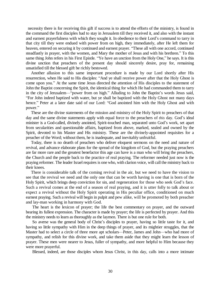necessity there is for receiving this gift if success is to attend the efforts of the ministry, is found in the command the first disciples had to stay in Jerusalem till they received it, and also with the instant and earnest prayerfulness with which they sought it. In obedience to their Lord's command to tarry in that city till they were endued with power from on high, they immediately, after He left them for heaven, entered on securing it by continued and earnest prayer. "These all with one accord, continued steadfastly in prayer, with the women, and Mary the mother of Jesus and with his brethren." To this same thing John refers in his First Epistle. "Ye have an unction from the Holy One," he says. It is this divine unction that preachers of the present day should sincerely desire, pray for, remaining unsatisfied till the blessed gift be richly bestowed.

Another allusion to this same important procedure is made by our Lord shortly after His resurrection, when He said to His disciples: "And ye shall receive power after that the Holy Ghost is come upon you." At the same time Jesus directed the attention of His disciples to the statement of John the Baptist concerning the Spirit, the identical thing for which He had commanded them to tarry in the city of Jerusalem—"power from on high." Alluding to John the Baptist's words Jesus said, ³For John indeed baptized with water, but ye shall be baptized with the Holy Ghost not many days hence." Peter at a later date said of our Lord: "God anointed him with the Holy Ghost and with power."

These are the divine statements of the mission and ministry of the Holy Spirit to preachers of that day and the same divine statements apply with equal force to the preachers of *this* day. God's ideal minister is a God-called, divinely anointed, Spirit-touched man, separated unto God's work, set apart from secularities and questionable affairs, baptized from above, marked, sealed and owned by the Spirit, devoted to his Master and His ministry. These are the divinely-appointed requisites for a preacher of the Word; without them, he is inadequate, and inevitably unfruitful.

Today, there is no dearth of preachers who deliver eloquent sermons on the need and nature of revival, and advance elaborate plans for the spread of the kingdom of God, but the praying preachers are far more rare and the greatest benefactor this age can have is a man who will bring the preachers, the Church and the people back to the practice of real praying. The reformer needed just now is the praying reformer. The leader Israel requires is one who, with clarion voice, will call the ministry back to their knees.

There is considerable talk of the coming revival in the air, but we need to have the vision to see that the revival we need and the only one that can be worth having is one that is born of the Holy Spirit, which brings deep conviction for sin, and regeneration for those who seek God's face. Such a revival comes at the end of a season of real praying, and it is utter folly to talk about or expect a revival without the Holy Spirit operating in His peculiar office, conditioned on much earnest praying. Such a revival will begin in pulpit and pew alike, will be promoted by both preacher and lay-man working in harmony with God.

The heart is the lexicon of prayer; the life the best commentary on prayer, and the outward bearing its fullest expression. The character is made by prayer; the life is perfected by prayer. And this the ministry needs to learn as thoroughly as the laymen. There is but one rule for both.

So averse was the general body of Christ's disciples to prayer, having so little taste for it, and having so little sympathy with Him in the deep things of prayer, and its mightier struggles, that the Master had to select a circle of three more apt scholars—Peter, James and John—who had more of sympathy, and relish for this divine work, and take them aside that they might learn the lesson of prayer. These men were nearer to Jesus, fuller of sympathy, and more helpful to Him because they were more prayerful.

Blessed, indeed, are those disciples whom Jesus Christ, in this day, calls into a more intimate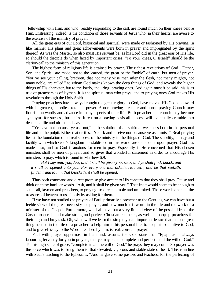fellowship with Him, and who, readily responding to the call, are found much on their knees before Him. Distressing, indeed, is the condition of those servants of Jesus who, in their hearts, are averse to the exercise of the ministry of prayer.

All the great eras of our Lord, historical and spiritual, were made or fashioned by His praying. In like manner His plans and great achievements were born in prayer and impregnated by the spirit thereof. As was the Master, so also must His servant be; as his Lord did in the great eras of His life, so should the disciple do when faced by important crises. "To your knees, O Israel!" should be the clarion-call to the ministry of this generation.

The highest form of religious life is attained by prayer. The richest revelations of God—Father, Son, and Spirit—are made, not to the learned, the great or the "noble" of earth, but men of prayer. ³For ye see your calling, brethren, that not many wise men after the flesh, not many mighty, not many noble, are called," to whom God makes known the deep things of God, and reveals the higher things of His character, but to the lowly, inquiring, praying ones. And again must it be said, his is as true of preachers as of laymen. It is the spiritual man who prays, and to praying ones God makes His revelations through the Holy Spirit.

Praying preachers have always brought the greater glory to God, have moved His Gospel onward with its greatest, speediest rate and power. A non-praying preacher and a non-praying Church may flourish outwardly and advance in many aspects of their life. Both preacher and church may become synonyms for success, but unless it rest on a praying basis all success will eventually crumble into deadened life and ultimate decay.

"Ye have not because ye ask not," is the solution of all spiritual weakness both in the personal life and in the pulpit. Either that or it is, "Ye ask and receive not because ye ask amiss." Real praying lies at the foundation of all real success of the ministry in the things of God. The stability, energy and facility with which God's kingdom is established in this world are dependent upon prayer. God has made it so, and so God is anxious for men to pray. Especially is He concerned that His chosen ministers shall be men of prayer, and so gives that wonderful statement in order to encourage His ministers to pray, which is found in Matthew 6:9:

*³But I say unto you, Ask, and it shall be given you; seek, and ye shall find; knock, and it shall be opened unto you. For every one that asketh, receiveth, and he that seeketh, findeth; and to him that knocketh, it shall be opened.´*

Thus both command and direct promise give accent to His concern that they shall pray. Pause and think on these familiar words. "Ask, and it shall be given you." That itself would seem to be enough to set us all, laymen and preachers, to praying, so direct, simple and unlimited. These words open all the treasures of heaven to us, simply by asking for them.

If we have not studied the prayers of Paul, primarily a preacher to the Gentiles, we can have but a feeble view of the great necessity for prayer, and how much it is worth in the life and the work of a minister of the Gospel. Furthermore, we shall have but a very limited view of the possibilities of the Gospel to enrich and make strong and perfect Christian character, as well as to equip preachers for their high and holy task. Oh, when will we learn the simple yet all important lesson that the one great thing needed in the life of a preacher to help him in his personal life, to keep his soul alive to God, and to give efficacy to the Word preached by him, is real, constant prayer!

Paul with prayer uppermost in his mind, assures the Colossians that "Epaphras is always labouring fervently for you in prayers, that ye may stand complete and perfect in all the will of God.<sup>"</sup> To this high state of grace, "complete in all the will of God," he prays they may come. So prayer was the force which was to bring them to that elevated, vigorous and stable state of heart. This is in line with Paul's teaching to the Ephesians, "And he gave some pastors and teachers, for the perfecting of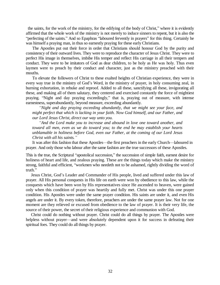the saints, for the work of the ministry, for the edifying of the body of Christ," where it is evidently affirmed that the whole work of the ministry is not merely to induce sinners to repent, but it is also the "perfecting of the saints." And so Epaphras "laboured fervently in prayers" for this thing. Certainly he was himself a praying man, in thus so earnestly praying for these early Christians.

The Apostles put out their force in order that Christians should honour God by the purity and consistency of their outward lives. They were to reproduce the character of Jesus Christ. They were to perfect His image in themselves, imbibe His temper and reflect His carriage in all their tempers and conduct. They were to be imitators of God as dear children, to be holy as He was holy. Thus even laymen were to preach by their conduct and character, just as the ministry preached with their mouths.

To elevate the followers of Christ to these exalted heights of Christian experience, they were in every way true in the ministry of God's Word, in the ministry of prayer, in holy consuming zeal, in burning exhortation, in rebuke and reproof. Added to all these, sanctifying all these, invigorating all these, and making all of them salutary, they centered and exercised constantly the force of mightiest praying. "Night and day praying exceedingly," that is, praying out of measure, with intense earnestness, superabundantly, beyond measure, exceeding abundantly.

*³Night and day praying exceeding abundantly, that we might see your face, and might perfect that which is lacking in your faith. Now God himself, and our Father, and our Lord Jesus Christ, direct our way unto you.*

*³And the Lord make you to increase and abound in love one toward another, and toward all men, even as we do toward you; to the end he may establish your hearts unblamable in holiness before God, even our Father, at the coming of our Lord Jesus Christ with all his saints.´*

It was after this fashion that these Apostles—the first preachers in the early Church—laboured in prayer. And only those who labour after the same fashion are the true successors of these Apostles.

This is the true, the Scriptural "apostolical succession," the succession of simple faith, earnest desire for holiness of heart and life, and zealous praying. These are the things today which make the ministry strong, faithful and efficient, "workmen who needeth not to be ashamed, rightly dividing the word of truth."

Jesus Christ, God's Leader and Commander of His people, lived and suffered under this law of prayer. All His personal conquests in His life on earth were won by obedience to this law, while the conquests which have been won by His representatives since He ascended to heaven, were gained only when this condition of prayer was heartily and fully met. Christ was under this one prayer condition. His Apostles were under the same prayer condition. His saints are under it, and even His angels are under it. By every token, therefore, preachers are under the same prayer law. Not for one moment are they relieved or excused from obedience to the law of prayer. It is their very life, the source of their power, the secret of their religious experience and communion with God.

Christ could do nothing without prayer. Christ could do all things by prayer. The Apostles were helpless without prayer—and were absolutely dependent upon it for success in defeating their spiritual foes. They could do all things by prayer.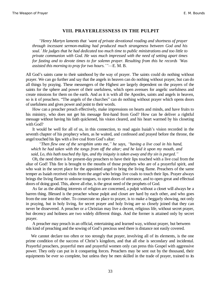#### **VIII. PRAYERLESSNESS IN THE PULPIT**

*³Henry Martyn laments that µwant of private devotional reading and shortness of prayer through incessant sermon-making had produced much strangeness between God and his soul.¶ He judges that he had dedicated too much time to public ministrations and too little to private communion with God. He was much impressed with the need of setting apart times for fasting and to devote times to for solemn prayer. Resulting from this he records 'Was assisted this morning to pray for two hours.*  $\degree$ <sup>\*\*</sup>—E. M. B.

All God's saints came to their sainthood by the way of prayer. The saints could do nothing without prayer. We can go further and say that the angels in heaven can do nothing without prayer, but can do all things by praying. These messengers of the Highest are largely dependent on the prayers of the saints for the sphere and power of their usefulness, which open avenues for angelic usefulness and create missions for them on the earth. And as it is with all the Apostles, saints and angels in heaven, so is it of preachers. "The angels of the churches" can do nothing without prayer which opens doors of usefulness and gives power and point to their words.

How can a preacher preach effectively, make impressions on hearts and minds, and have fruits to his ministry, who does not get his message first-hand from God? How can he deliver a rightful message without having his faith quickened, his vision cleared, and his heart warmed by his closeting with God?

It would be well for all of us, in this connection, to read again Isaiah's vision recorded in the seventh chapter of his prophecy when, as he waited, and confessed and prayed before the throne, the angel touched his lips with a live coal from God's altar:

*³Then flew one of the seraphim unto me,´ he says, ³having a live coal in his hand, which he had taken with the tongs from off the altar; and he laid it upon my mouth, and said, Lo, this hath touched thy lips, and thy iniquity is taken away and thy sin is purged.´*

Oh, the need there is for present-day preachers to have their lips touched with a live coal from the altar of God! This fire is brought to the mouths of those prophets who are of a prayerful spirit, and who wait in the secret place for the appointed angel to bring the living flame. Preachers of the same temper as Isaiah received visits from the angel who brings live coals to touch their lips. Prayer always brings the living flame to unloose tongues, to open doors of utterance, and to open great and effectual doors of doing good. This, above all else, is the great need of the prophets of God.

As far as the abiding interests of religion are concerned, a pulpit without a closet will always be a barren thing. Blessed is the preacher whose pulpit and closet are hard by each other, and who goes from the one into the other. To consecrate no place to prayer, is to make a beggarly showing, not only in praying, but in holy living, for secret prayer and holy living are so closely joined that they can never be dissevered. A preacher or a Christian may live a decent, religious life, without secret prayer, but decency and holiness are two widely different things. And the former is attained only by secret prayer.

A preacher may preach in an official, entertaining and learned way, without prayer, but between this kind of preaching and the sowing of God's precious seed there is distance not easily covered.

We cannot declare too often or too strongly that prayer, involving all of its elements, is the one prime condition of the success of Christ's kingdom, and that all else is secondary and incidental. Prayerful preachers, prayerful men and prayerful women only can press this Gospel with aggressive power. They only can put in it conquering forces. Preachers may be sent out by the thousand, their equipments be ever so complete, but unless they be men skilled in the trade of prayer, trained to its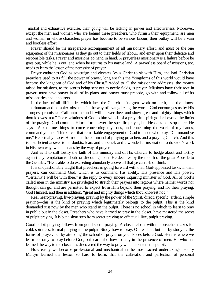martial and exhaustive exercise, their going will be lacking in power and effectiveness. Moreover, except the men and women who are behind these preachers, who furnish their equipment, are men and women in whose characters prayer has become to be serious labour, their outlay will be a vain and bootless effort.

Prayer should be the inseparable accompaniment of all missionary effort, and must be the one equipment of the missionaries as they go out to their fields of labour, and enter upon their delicate and responsible tasks. Prayer and missions go hand in hand. A prayerless missionary is a failure before he goes out, while he *is* out, and when he returns to his native land. A prayerless board of missions, too, needs to learn the lesson of the necessity of prayer.

Prayer enthrones God as sovereign and elevates Jesus Christ to sit with Him, and had Christian preachers used to its full the power of prayer, long ere this the "kingdoms of this world would have become the kingdom of God and of his Christ." Added to all the missionary addresses, the money raised for missions, to the scores being sent out to needy fields, is prayer. Missions have their root in prayer, must have prayer in all of its plans, and prayer must precede, go with and follow all of its missionaries and labourers.

In the face of all difficulties which face the Church in its great work on earth, and the almost superhuman and complex obstacles in the way of evangelizing the world, God encourages us by His strongest promises: "Call unto me and I will answer thee, and show great and mighty things which thou knowest not." The revelations of God to him who is of a prayerful spirit go far beyond the limits of the praying. God commits Himself to answer the specific prayer, but He does not stop there. He says, "Ask of me things to come concerning my sons, and concerning the work of my hands, command ye me." Think over that remarkable engagement of God to those who pray, "Command ye me," He actually places Himself at the command of praying preachers and a praying Church. And this is a sufficient answer to all doubts, fears and unbelief, and a wonderful inspiration to do God's work in His own way, which means by the way of prayer.

And as if to still fortify the faith of His ministry and of His Church, to hedge about and fortify against any temptation to doubt or discouragement, He declares by the mouth of the great Apostle to the Gentiles, "He is able to do exceeding abundantly above all that ye can ask or think."

It is unquestionably taught that preachers in going forward with their God-appointed tasks, in their prayers, can command God, which is to command His ability, His presence and His power. "Certainly I will be with thee," is the reply to every sincere inquiring minister of God. All of God's called men in the ministry are privileged to stretch their prayers into regions where neither words nor thought can go, and are permitted to expect from Him beyond their praying, and for their praying, God Himself, and then in addition, "great and mighty things which thou knowest not."

Real heart-praying, live-praying, praying by the power of the Spirit, direct, specific, ardent, simple praying—this is the kind of praying which legitimately belongs to the pulpit. This is the kind demanded just now by the men who stand in the pulpit. There is no school in which to learn to pray in public but in the closet. Preachers who have learned to pray in the closet, have mastered the secret of pulpit praying. It is but a short step from secret praying to effectual, live, pulpit praying.

Good pulpit praying follows from good secret praying. A closed closet with the preacher makes for cold, spiritless, formal praying in the pulpit. Study how to pray, O preacher, but not by studying the forms of prayer, but by attending the school of prayer on your knees before God. Here is where we learn not only to pray before God, but learn also how to pray in the presence of men. He who has learned the way to the closet has discovered the way to pray when he enters the pulpit.

How easily we become professional and mechanical in the most sacred undertakings! Henry Martyn learned the lesson so hard to learn, that the cultivation and perfection of personal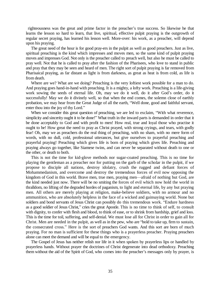righteousness was the great and prime factor in the preacher's true success. So likewise he that learns the lesson so hard to learn, that live, spiritual, effective pulpit praying is the outgrowth of regular secret praying, has learned his lesson well. More-over: his work, as a preacher, will depend upon his praying.

The great need of the hour is for good pray-ers in the pulpit as well as good preachers. Just as live, spiritual preaching is the kind which impresses and moves men, so the same kind of pulpit praying moves and impresses God. Not only is the preacher called to preach well, but also he must be called to pray well. Not that he is called to pray after the fashion of the Pharisees, who love to stand in public and pray that they may be seen and heard of men. The right sort of pulpit praying is far removed from Pharisaical praying, as far distant as light is from darkness, as great as heat is from cold, as life is from death.

Where are we? What are we doing? Preaching is the very loftiest work possible for a man to do. And praying goes hand-in-hand with preaching. It is a mighty, a lofty work. Preaching is a life-giving work sowing the seeds of eternal life. Oh, may we do it well, do it after God's order, do it successfully! May we do it divinely well, so that when the end comes, the solemn close of earthly probation, we may hear from the Great Judge of all the earth, "Well done, good and faithful servant, enter thou into the joy of thy Lord."

When we consider this great question of preaching, we are led to exclaim, "With what reverence, simplicity and sincerity ought it to be done!" What truth in the inward parts is demanded in order that it be done acceptably to God and with profit to men! How real, true and loyal those who practise it ought to be! How great the need to pray as Christ prayed, with strong cryings, and tears, with godly fear! Oh, may we as preachers do the real thing of preaching, with no sham, with no mere form of words, with no dull, cold, professional utterances, but give ourselves to prayerful preaching and prayerful praying! Preaching which gives life is born of praying which gives life. Preaching and praying always go together, like Siamese twins, and can never be separated without death to one or the other, or death to both.

This is not the time for kid-glove methods nor sugar-coated preaching. This is no time for playing the gentleman as a preacher nor for putting on the garb of the scholar in the pulpit, if we propose to disciple all nations, destroy idolatry, crush the rugged and defiant forces of Mohammedanism, and overcome and destroy the tremendous forces of evil now opposing the kingdom of God in this world. Brave men, true men, praying men—afraid of nothing but God, are the kind needed just now. There will be no smiting the forces of evil which now hold the world in thralldom, no lifting of the degraded hordes of paganism, to light and eternal life, by any but praying men. All others are merely playing at religion, make-believe soldiers, with no armour and no ammunition, who are absolutely helpless in the face of a wicked and gainsaying world. None but soldiers and bond servants of Jesus Christ can possibly do this tremendous work. "Endure hardness as a good soldier of Jesus Christ," cries the great Apostle. This is no time to think of self, to consult with dignity, to confer with flesh and blood, to think of ease, or to shrink from hardship, grief and loss. This is the time for toil, suffering, and self-denial. We must lose all for Christ in order to gain all for Christ. Men are needed in the pulpit, as well as in the pew, who are "bold to take up, firm to sustain, the consecrated cross.´ Here is the sort of preachers God wants. And this sort are born of much praying. For no man is sufficient for these things who is a prayerless preacher. Praying preachers alone can meet the demand and will be equal to the emergency.

The Gospel of Jesus has neither relish nor life in it when spoken by prayerless lips or handled by prayerless hands. Without prayer the doctrines of Christ degenerate into dead orthodoxy. Preaching them without the aid of the Spirit of God, who comes into the preacher's messages only by prayer, is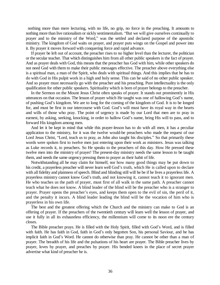nothing more than mere lecturing, with no life, no grip, no force in the preaching. It amounts to nothing more than live rationalism or sickly sentimentalism. "But we will give ourselves continually to prayer and to the ministry of the Word," was the settled and declared purpose of the apostolic ministry. The kingdom of God waits on prayer, and prayer puts wings on the Gospel and power into it. By prayer it moves forward with conquering force and rapid advance.

If prayer be left out of account, the preacher rises to no higher level than the lecturer, the politician or the secular teacher. That which distinguishes him from all other public speakers is the fact of prayer. And as prayer deals with God, this means that the preacher has God with him, while other speakers do not need God with them to make their public messages effective. The preacher above everything else is a spiritual man, a man of the Spirit, who deals with spiritual things. And this implies that he has to do with God in His pulpit work in a high and holy sense. This can be said of no other public speaker. And so prayer must necessarily go with the preacher and his preaching. Pure intellectuality is the only qualification for other public speakers. Spirituality which is born of prayer belongs to the preacher.

In the Sermon on the Mount Jesus Christ often speaks of prayer. It stands out prominently in His utterances on that occasion. The lesson of prayer which He taught was one of hallowing God's name, of pushing God's kingdom. We are to long for the coming of the kingdom of God. It is to be longed for, and must be first in our intercourse with God. God's will must have its royal way in the hearts and wills of those who pray. The point of urgency is made by our Lord that men are to pray in earnest, by asking, seeking, knocking, in order to hallow God's name, bring His will to pass, and to forward His kingdom among men.

And let it be kept in mind that while this prayer-lesson has to do with all men, it has a peculiar application to the ministry, for it was the twelve would-be preachers who made the request of our Lord Jesus Christ, "Lord, teach us to pray, as John also taught his disciples." So that primarily these words were spoken first to twelve men just entering upon their work as ministers. Jesus was talking as Luke records it, to preachers. So He speaks to the preachers of this day. How He pressed these twelve men into the ministry of prayer! The present-day ministry needs the same lesson to be taught them, and needs the same urgency pressing them to prayer as their habit of life.

Notwithstanding all he may claim for himself, nor how many good things may be put down to his credit, a prayerless preacher will never learn well God's truth, which He is called upon to declare with all fidelity and plainness of speech. Blind and blinding still will he be if he lives a prayerless life. A prayerless ministry cannot know God's truth, and not knowing it, cannot teach it to ignorant men. He who teaches us the path of prayer, must first of all walk in the same path. A preacher cannot teach what he does not know. A blind leader of the blind will be the preacher who is a stranger to prayer. Prayer opens the preacher's eyes, and keeps them open to the evil of sin, the peril of it, and the penalty it incurs. A blind leader leading the blind will be the vocation of him who is prayerless in his own life.

The best and the greatest offering which the Church and the ministry can make to God is an offering of prayer. If the preachers of the twentieth century will learn well the lesson of prayer, and use it fully in all its exhaustless efficiency, the millennium will come to its noon ere the century closes.

The Bible preacher prays. He is filled with the Holy Spirit, filled with God's Word, and is filled with faith. He has faith in God, faith in God's only begotten Son, his personal Saviour, and he has implicit faith in God's Word. He cannot do otherwise than pray. He cannot be other than a man of prayer. The breadth of his life and the pulsations of his heart are prayer. The Bible preacher lives by prayer, loves by prayer, and preaches by prayer. His bended knees in the place of secret prayer advertise what kind of preacher he is.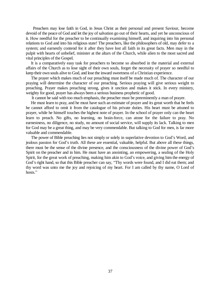Preachers may lose faith in God, in Jesus Christ as their personal and present Saviour, become devoid of the peace of God and let the joy of salvation go out of their hearts, and yet be unconscious of it. How needful for the preacher to be continually examining himself, and inquiring into his personal relations to God and into his religious state! The preachers, like the philosophers of old, may defer to a system; and earnestly contend for it after they have lost all faith in its great facts. Men may in the pulpit with hearts of unbelief, minister at the altars of the Church, while alien to the most sacred and vital principles of the Gospel.

It is a comparatively easy task for preachers to become so absorbed in the material and external affairs of the Church as to lose sight of their own souls, forget the necessity of prayer so needful to keep their own souls alive to God, and lose the inward sweetness of a Christian experience.

The prayer which makes much of our preaching must itself be made much of. The character of our praying will determine the character of our preaching. Serious praying will give serious weight to preaching. Prayer makes preaching strong, gives it unction and makes it stick. In every ministry, weighty for good, prayer has always been a serious business prophetic of good.

It cannot be said with too much emphasis, the preacher must be preeminently a man of prayer.

He must learn to pray, and he must have such an estimate of prayer and its great worth that he feels he cannot afford to omit it from the catalogue of his private duties. His heart must be attuned to prayer, while he himself touches the highest note of prayer. In the school of prayer only can the heart learn to preach. No gifts, no learning, no brain-force, can atone for the failure to pray. No earnestness, no diligence, no study, no amount of social service, will supply its lack. Talking to men for God may be a great thing, and may be very commendable. But talking to God for men, is far more valuable and commendable.

The power of Bible preaching lies not simply or solely in superlative devotion to God's Word, and jealous passion for God's truth. All these are essential, valuable, helpful. But above all these things, there must be the sense of the divine presence, and the consciousness of the divine power of God's Spirit on the preacher and in him. He must have an anointing, an empowering, a sealing of the Holy Spirit, for the great work of preaching, making him akin to God's voice, and giving him the energy of God's right hand, so that this Bible preacher can say, "Thy words were found, and I did eat them; and thy word was unto me the joy and rejoicing of my heart. For I am called by thy name, O Lord of hosts."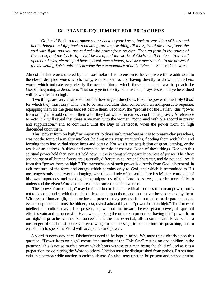## **IX. PRAYER-EQUIPMENT FOR PREACHERS**

*³Go back! Back to that upper room; back to your knees; back to searching of heart and habit, thought and life; back to pleading, praying, waiting, till the Spirit of the Lord floods the soul with light, and you are endued with power from on high. Then go forth in the power of Pentecost, and the Christ-life shall be lived, and the works of Christ shall be done. You shall open blind eyes, cleanse foul hearts, break men¶s fetters, and save men¶s souls. In the power of the indwelling Spirit, miracles become the commonplace of daily living.*<sup>*'*</sup>—Samuel Chadwick.

Almost the last words uttered by our Lord before His ascension to heaven, were those addressed to the eleven disciples, words which, really, were spoken to, and having directly to do with, preachers, words which indicate very clearly the needed fitness which these men must have to preach the Gospel, beginning at Jerusalem: "But tarry ye in the city of Jerusalem," says Jesus, "till ye be endued with power from on high."

Two things are very clearly set forth in these urgent directions. First, the power of the Holy Ghost for which they must tarry. This was to be received after their conversion, an indispensable requisite, equipping them for the great task set before them. Secondly, the "promise of the Father," this "power from on high," would come to them after they had waited in earnest, continuous prayer. A reference to Acts 1:14 will reveal that these same men, with the women, "continued with one accord in prayer and supplication," and so continued until the Day of Pentecost, when the power from on high descended upon them.

This "power from on high," as important to those early preachers as it is to present-day preachers, was not the force of a mighty intellect, holding in its grasp great truths, flooding them with light, and forming them into verbal shapeliness and beauty. Nor was it the acquisition of great learning, or the result of an address, faultless and complete by rule of rhetoric. None of these things. Nor was this spiritual power held then, nor is it held now, in the keeping of any earthly sources of power. The effect and energy of all human forces are essentially different in source and character, and do not at all result from this "power from on high." The transmission of such power is directly from God, a bestowal, in rich measure, of the force and energy which pertains only to God, and which is transmitted to His messengers only in answer to a longing, wrestling attitude of his soul before his Master, conscious of his own impotency and seeking the omnipotency of the Lord he serves, in order more fully to understand the given Word and to preach the same to his fellow-men.

The "power from on high" may be found in combination with all sources of human power, but is not to be confounded with them, is not dependent upon them, and must never be superseded by them. Whatever of human gift, talent or force a preacher may possess it is not to be made paramount, or even conspicuous. It must be hidden, lost, overshadowed by this "power from on high." The forces of intellect and culture may all be present, but without this inward, heaven-given power, all spiritual effort is vain and unsuccessful. Even when lacking the other equipment but having this "power from on high,´ a preacher cannot but succeed. It is the one essential, all-important vital force which a messenger of God must possess to give wings to his message, to put life into his preaching, and to enable him to speak the Word with acceptance and power.

A word is necessary here. Distinctions need to be kept in mind. We must think clearly upon this question. "Power from on high" means "the unction of the Holy One" resting on and abiding in the preacher. This is not so much a power which bears witness to a man being the child of God as it is a preparation for delivering the Word to others. Unction must be distinguished from pathos. Pathos may exist in a sermon while unction is entirely absent. So also, may unction be present and pathos absent.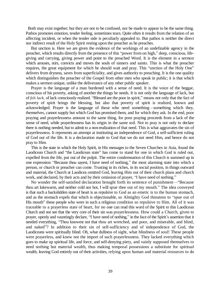Both may exist together; but they are not to be confused, nor be made to appear to be the same thing. Pathos promotes emotion, tender feeling, sometimes tears. Quite often it results from the relation of an affecting incident, or when the tender side is peculiarly appealed to. But pathos is neither the direct nor indirect result of the Holy Spirit resting upon the preacher as he preaches.

But unction is. Here we are given the evidence of the workings of an undefinable agency in the preacher, which results directly from the presence of this "power from on high," deep, conscious, lifegiving and carrying, giving power and point to the preached Word. It is the element in a sermon which arouses, stirs, convicts and moves the souls of sinners and saints. This is what the preacher requires, the great equipment for which he should wait and pray. This "unction of the Holy One" delivers from dryness, saves from superficiality, and gives authority to preaching. It is the one quality which distinguishes the preacher of the Gospel from other men who speak in public; it is that which makes a sermon unique, unlike the deliverance of any other public speaker.

Prayer is the language of a man burdened with a sense of need. It is the voice of the beggar, conscious of his poverty, asking of another the things he needs. It is not only the language of lack, but of *felt lack*, of lack consciously realized. "Blessed are the poor in spirit," means not only that the fact of poverty of spirit brings the blessing, but also that poverty of spirit is realized, known and acknowledged. Prayer is the language of those who need something—something which they, themselves, cannot supply but which God has promised them, and for which they ask. In the end, poor praying and prayerlessness amount to the same thing, for poor praying proceeds from a lack of the sense of need, while prayerlessness has its origin in the same soil. Not to pray is not only to declare there is nothing needed, but to admit to a non-realization of that need. This is what aggravates the sin of prayerlessness. It represents an attempt at instituting an independence of God, a self-sufficient ruling of God out of the life. It is a declaration made to God that we do not need Him, and hence do not pray to Him.

This is the state in which the Holy Spirit, in His messages to the Seven Churches in Asia, found the Laodicean Church and "the Laodicean state" has come to stand for one in which God is ruled out, expelled from the life, put out of the pulpit. The entire condemnation of this Church is summed up in one expression: "Because thou sayest, I have need of nothing," the most alarming state into which a person, or church or preacher can come. Trusting in its riches, in its social position, in things outward and material, the Church at Laodicea omitted God, leaving Him out of their church plans and church work, and declared, by their acts and by their omission of prayer, "I have need of nothing."

No wonder the self-satisfied declaration brought forth its sentence of punishment—"Because thou art lukewarm, and neither cold nor hot, I will spue thee out of my mouth." The idea conveyed is that such a backslidden state of heart is as repulsive to God as an emetic is to the human stomach, and as the stomach expels that which is objectionable, so Almighty God threatens to "spue out of His mouth" these people who were in such a religious condition so repulsive to Him. All of it was traceable to a prayerless state of heart, for no one can read this word of the Spirit to this Laodicean Church and not see that the very core of their sin was prayerlessness. How could a Church, given to prayer, openly and vauntingly declare, "I have need of nothing," in the face of the Spirit's assertion that it needed everything, "Thou knowest not that thou art wretched, and poor, and miserable, and blind, and naked"? In addition to their sin of self-sufficiency and of independence of God, the Laodiceans were spiritually blind. Oh, what dullness of sight, what blindness of soul! These people were prayerless, and knew not the import of such prayerlessness. They lacked everything which goes to make up spiritual life, and force, and self-denying piety, and vainly supposed themselves to need nothing but material wealth, thus making temporal possessions a substitute for spiritual wealth, leaving God entirely out of their activities, relying upon human and material resources to do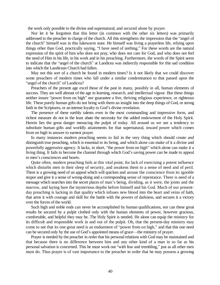the work only possible to the divine and supernatural, and secured alone by prayer.

Nor let it be forgotten that this letter (in common with the other six letters) was primarily addressed to the preacher in charge of the church. All this strengthens the impression that the "angel of the church´ himself was in this lukewarm state. He himself was living a prayerless life, relying upon things other than God, practically saying, "I have need of nothing." For these words are the natural expression of the spirit of him who does not pray, who does not care for God, and who does not feel the need of Him in his life, in his work and in his preaching. Furthermore, the words of the Spirit seem to indicate that the "angel of the church" at Laodicea was indirectly responsible for this sad condition into which the Laodicean Church had fallen.

May not this sort of a church be found in modern times? Is it not likely that we could discover some preachers of modern times who fall under a similar condemnation to that passed upon the "angel of the church" of Laodicea?

Preachers of the present age excel those of the past in many, possibly in all, human elements of success. They are well abreast of the age in learning, research, and intellectual vigour. But these things neither insure "power from on high" nor guarantee a live, thriving religious experience, or righteous life. These purely human gifts do not bring with them an insight into the deep things of God, or strong faith in the Scriptures, or an intense loyalty to God's divine revelation.

The presence of these earthly talents even in the most commanding and impressive form, and richest measure do not in the least abate the necessity for the added endowment of the Holy Spirit. Herein lies the great danger menacing the pulpit of today. All around us we see a tendency to substitute human gifts and worldly attainments for that supernatural, inward power which comes from on high in answer to earnest prayer.

In many instances modern preaching seems to fail in the very thing which should create and distinguish true preaching, which is essential to its being, and which alone can make of it a divine and powerfully aggressive agency. It lacks, in short, "the power from on high" which alone can make it a living thing. It fails to become the channel through which God's saving power can be made to appeal to men's consciences and hearts.

Quite often, modern preaching fails at this vital point, for lack of exercising a potent influence which disturbs men in their sleep of security, and awakens them to a sense of need and of peril. There is a growing need of an appeal which will quicken and arouse the conscience from its ignoble stupor and give it a sense of wrong-doing and a corresponding sense of repentance. There is need of a message which searches into the secret places of man's being, dividing, as it were, the joints and the marrow, and laying bare the mysterious depths before himself and his God. Much of our presentday preaching is lacking in that quality which infuses new blood into the heart and veins of faith, that arms it with courage and skill for the battle with the powers of darkness, and secures it a victory over the forces of the world.

Such high and noble ends can never be accomplished by human qualifications, nor can these great results be secured by a pulpit clothed only with the human elements of power, however gracious, comfortable, and helpful they may be. The Holy Spirit is needed. He alone can equip the ministry for its difficult and responsible work in and out of the pulpit. Oh, that the present-day ministry may come to see that its one great need is an enduement of "power from on high," and that this one need can be secured only by the use of God's appointed means of grace—the ministry of prayer.

Prayer is needed by the preacher in order that his personal relations with God may be maintained and that because there is no difference between him and any other kind of a man in so far as his personal salvation is concerned. This he must work out "with fear and trembling," just as all other men must do. Thus prayer is of vast importance to the preacher in order that he may possess a growing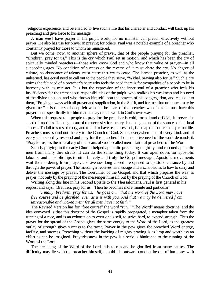religious experience, and be enabled to live such a life that his character and conduct will back up his preaching and give force to his message.

A man *must* have prayer in his pulpit work, for no minister can preach effectively without prayer. He also has use for prayer in praying for others. Paul was a notable example of a preacher who constantly prayed for those to whom he ministered.

But we come, now, to another sphere of prayer, that of the people praying for the preacher. "Brethren, pray for us," This is the cry which Paul set in motion, and which has been the cry of spiritually minded preachers—those who know God and who know that value of prayer—in all succeeding ages. No condition of success or the reverse of it must abate the cry. No degree of culture, no abundance of talents, must cause that cry to cease. The learned preacher, as well as the unlearned, has equal need to call out to the people they serve, "Withal, praying also for us." Such a cry voices the felt need of a preacher's heart who feels the need there is for sympathies of a people to be in harmony with its minister. It is but the expression of the inner soul of a preacher who feels his insufficiency for the tremendous responsibilities of the pulpit, who realizes his weakness and his need of the divine unction, and who throws himself upon the prayers of his congregation, and calls out to them, "Praying always with all prayer and supplication, in the Spirit, and for me, that utterance may be given me." It is the cry of deep felt want in the heart of the preacher who feels he must have this prayer made specifically for him that he may do his work in God's own way.

When this request to a people to pray for the preacher is cold, formal and official, it freezes instead of fructifies. To be ignorant of the necessity for the cry, is to be ignorant of the sources of spiritual success. To fail to stress the cry, and to fall to have responses to it, is to sap the sources of spiritual life. Preachers must sound out the cry to the Church of God. Saints everywhere and of every kind, and of every faith speedily respond and pray for the preacher. The imperative need of the work demands it. "Pray for us," is the natural cry of the hearts of God's called men—faithful preachers of the Word.

Saintly praying in the early Church helped apostolic preaching mightily, and rescued apostolic men from many dire straits. It can do the same thing today. It can open doors for apostolic labours, and apostolic lips to utter bravely and truly the Gospel message. Apostolic movements wait their ordering from prayer, and avenues long closed are opened to apostolic entrance by and through the power of prayer. The messenger receives his message and is schooled as to how to carry and deliver the message by prayer. The forerunner of the Gospel, and that which prepares the way, is prayer; not only by the praying of the messenger himself, but by the praying of the Church of God.

Writing along this line in his Second Epistle to the Thessalonians, Paul is first general in his request and says, "Brethren, pray for us." Then he becomes more minute and particular:

*³Finally, brethren, pray for us,´ he goes on, ³that the word of the Lord may have free course and be glorified, even as it is with you. And that we may be delivered from unreasonable and wicked men; for all men have not faith.´*

The Revised Version has for "free course" the word "run." "The Word" means doctrine, and the idea conveyed is that this doctrine of the Gospel is rapidly propagated, a metaphor taken from the running of a race, and is an exhortation to exert one's self, to strive hard, to expend strength. Thus the prayer for the spread of the Gospel gives the same energy to the Word of the Lord, as the greatest outlay of strength gives success to the racer. Prayer in the pew gives the preached Word energy, facility, and success. Preaching without the backing of mighty praying is as limp and worthless an effort as can be imagined. Prayerlessness in the pew is a serious hindrance to the running of the Word of the Lord.

The preaching of the Word of the Lord falls to run and be glorified from many causes. The difficulty may lie with the preacher himself, should his outward conduct be out of harmony with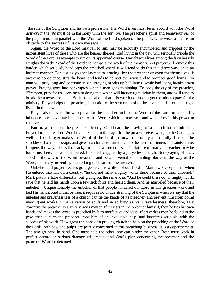the rule of the Scriptures and his own profession. The Word *lived* must be in accord with the Word *delivered;* the *life* must be in harmony with the *sermon*. The preacher's spirit and behaviour *out* of the pulpit must run parallel with the Word of the Lord spoken *in* the pulpit. Otherwise, a man is an obstacle to the success of his own message.

Again, the Word of the Lord may fail to run, may be seriously encumbered and crippled by the inconsistent lives of those who are the hearers thereof. Bad living in the pew will seriously cripple the Word of the Lord, as attempts to run on its appointed course. Unrighteous lives among the laity heavily weights down the Word of the Lord and hampers the work of the ministry. Yet prayer will remove this burden which seriously handicaps the preached Word. It will tend to do this in a direct way, or in an indirect manner. For just as you set laymen to praying, for the preacher or even for themselves, it awakens conscience, stirs the heart, and tends to correct evil ways and to promote good living. No man will pray long and continue in sin. Praying breaks up bad living, while bad living breaks down prayer. Praying goes into bankruptcy when a man goes to sinning. To obey the cry of the preacher, "Brethren, pray for us," sets men to doing that which will induce right living in them, and will tend to break them away from sin. So it comes about that it is worth no little to get the laity to pray for the ministry. Prayer helps the preacher, is an aid to the sermon, assists the hearer and promotes right living in the pew.

Prayer also moves him who prays for the preacher and for the Word of the Lord, to use all his influence to remove any hindrance to that Word which he may see, and which lies in his power to remove.

But prayer reaches the preacher directly. God hears the praying of a church for its minister. Prayer for the preached Word is a direct aid to it. Prayer for the preacher gives wings to the Gospel, as well as feet. Prayer makes the Word of the Lord go forward strongly and rapidly. It takes the shackles off of the message, and gives it a chance to run straight to the hearts of sinners and saints, alike. It opens the way, clears the track, furnishes a free course. The failure of many a preacher may be found just here. He was hampered, hindered, crippled by a prayerless church. Non-praying officials stood in the way of the Word preached, and became veritable stumbling blocks in the way of the Word, definitely preventing its reaching the hearts of the unsaved.

Unbelief and prayerlessness go together. It is written of our Lord in Matthew's Gospel that when He entered into His own country, "he did not many mighty works there because of their unbelief." Mark puts it a little differently, but giving out the same idea: "And he could there do no mighty work, save that he laid his hands upon a few sick folks and healed them. And he marveled because of their unbelief." Unquestionably the unbelief of that people hindered our Lord in His gracious work and tied His hands. And if that be true, it requires no undue straining of the Scriptures when we say that the unbelief and prayerlessness of a church can tie the hands of its preacher, and prevent him from doing many great works in the salvation of souls and in edifying saints. Prayerlessness, therefore, as it concerns the preacher is a very serious matter. If it exists in the preacher himself, then he ties his own hands and makes the Word as preached by him ineffective and void. If prayerless men be found in the pew, then it hurts the preacher, robs him of an invaluable help, and interferes seriously with the success of his work. How great the need of a praying church to help on the preaching of the Word of the Lord! Both pew and pulpit are jointly concerned in this preaching business. It is a copartnership. The two go hand in hand. One must help the other, one can hinder the other. Both must work in perfect accord or serious damage will result, and God's plan concerning the preacher and the preached Word be defeated.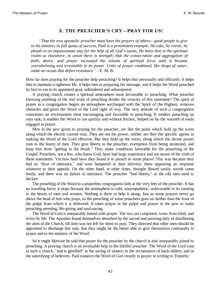## **X. THE PREACHER¶S CRY²PRAY FOR US!**

*³That the true apostolic preacher must have the prayers of others²good people to give to his ministry its full quota of success, Paul is a preeminent example. He asks, he covets, he pleads in an impassionate way for the help of all God¶s saints, He knew that in the spiritual realm as elsewhere, in union there is strength; that the consecration and aggregation of faith, desire, and prayer increased the volume of spiritual force until it became overwhelming and irresistible in its power. Units of prayer combined, like drops of water, make an ocean that defies resistance*<sup>"</sup>—E. M. B.

How far does praying for the preacher help preaching? It helps him personally and officially. It helps him to maintain a righteous life, it helps him in preparing his message, and it helps the Word preached by him to run to its appointed goal, unhindered and unhampered.

A praying church creates a spiritual atmosphere most favourable to preaching. What preacher knowing anything of the real work of preaching doubts the veracity of this statement? The spirit of prayer in a congregation begets an atmosphere surcharged with the Spirit of the Highest, removes obstacles and gives the Word of the Lord right of way. The very attitude of such a congregation constitutes an environment most encouraging and favorable to preaching. It renders preaching an easy task; it enables the Word to run quickly and without friction, helped on by the warmth of souls engaged in prayer.

Men in the pew given to praying for the preacher, are like the poles which hold up the wires along which the electric current runs. They are not the power, neither are they the specific agents in making the Word of the Lord effective. But they hold up the wires, along which the divine power runs to the hearts of men. They give liberty to the preacher, exemption from being straitened, and keep him from "getting in the brush." They make conditions favorable for the preaching of the Gospel. Preachers, not a few, who know God, have had large experience and are aware of the truth of these statements. Yet how hard have they found it to preach in some places! This was because they had no "door of utterance," and were hampered in their delivery, there appearing no response whatever to their appeals. On the other hand, at other times, thought flowed easily, words came freely, and there was no failure in utterance. The preacher "had liberty," as the old men used to declare.

The preaching of the Word to a prayerless congregation falls at the very feet of the preacher. It has no traveling force; it stops because the atmosphere is cold, unsympathetic, unfavorable to its running to the hearts of men and women. Nothing is there to help it along. Just as some prayers never go above the head of him who prays, so the preaching of some preachers goes no farther than the front of the pulpit from which it is delivered. It takes prayer in the pulpit and prayer in the pew to make preaching arresting, life-giving and soul-saving.

The Word of God is inseparably linked with prayer. The two are conjoined, twins from birth, and twins by life. The Apostles found themselves absorbed by the sacred and pressing duty of distributing the alms of the Church, till time was not left for them to pray. They directed that other men should be appointed to discharge this task, that they might be the better able to give themselves continually to prayer and to the ministry of the Word.

So it might likewise be said that prayer for the preacher by the church is also inseparably joined to preaching. A praying church is an invaluable help to the faithful preacher. The Word of the Lord runs in such a church, "and is glorified" in the saving of sinners in the reclamation of back-sliders, and in the sanctifying of believers. Paul connects the Word of God closely in prayer in writing to Timothy: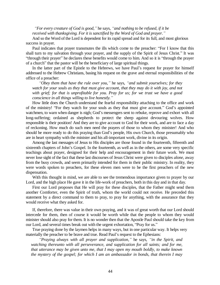*³For every creature of God is good,´* he says, *³and nothing to be refused, if it be received with thanksgiving. For it is sanctified by the Word of God and prayer.´*

And so the Word of the Lord is dependent for its rapid spread and for its full, and most glorious success in prayer.

Paul indicates that prayer transmutes the ills which come to the preacher: "For I know that this shall turn to my salvation through your prayer, and the supply of the Spirit of Jesus Christ." It was "through their prayer" he declares these benefits would come to him. And so it is "through the prayer" of a church<sup>"</sup> that the pastor will be the beneficiary of large spiritual things.

In the latter part of the Epistle to the Hebrews, we have Paul's request for prayer for himself addressed to the Hebrew Christians, basing his request on the grave and eternal responsibilities of the office of a preacher:

*³Obey them that have the rule over you,´* he says, *³and submit yourselves; for they watch for your souls as they that must give account, that they may do it with joy, and not with grief; for that is unprofitable for you. Pray for us; for we trust we have a good conscience in all things willing to live honestly.´*

How little does the Church understand the fearful responsibility attaching to the office and work of the ministry! "For they watch for your souls as they that must give account." God's appointed watchmen, to warn when danger is nigh; God's messengers sent to rebuke, reprove and exhort with all long-suffering; ordained as shepherds to protect the sheep against devouring wolves. How responsible is their position! And they are to give account to God for their work, and are to face a day of reckoning. How much do such men need the prayers of those to whom they minister! And who should be more ready to do this praying than God's people, His own Church, those presumably who are in heart sympathy with the minister and his all-important work, divine in its origin.

Among the last messages of Jesus to His disciples are those found in the fourteenth, fifteenth and sixteenth chapters of John's Gospel. In the fourteenth, as well as in the others, are some very specific teachings about prayer, designed for their help and encouragement in their future work. We must never lose sight of the fact that these last discourses of Jesus Christ were given to disciples *alone,* away from the busy crowds, and seem primarily intended for them in their public ministry. In reality, they were words spoken to preachers, for these eleven men were to be the first preachers of the new dispensation.

With this thought in mind, we are able to see the tremendous importance given to prayer by our Lord, and the high place He gave it in the life-work of preachers, both in this day and in that day.

First our Lord proposes that He will pray for these disciples, that the Father might send them another Comforter, even the Spirit of truth, whom the world could not receive. He preceded this statement by a direct command to them to pray, to pray for anything, with the assurance that they would receive what they asked for.

If, therefore, there was value in their own praying, and it was of great worth that our Lord should intercede for them, then of course it would be worth while that the people to whom they would minister should also pray for them. It is no wonder then that the Apostle Paul should take the key from our Lord, and several times break out with the urgent exhortation, "Pray for us."

True praying done by the laymen helps in many ways, but in one particular way. It helps very materially the preacher to be brave and true. Read Paul's request to the Ephesians:

*³Praying always with all prayer and supplication,´* he says, *³in the Spirit, and watching thereunto with all perseverance, and supplication for all saints; and for me, that utterance may be given unto me, that I may open my mouth boldly, to make known the mystery of the gospel; for which I am an ambassador in bonds, that therein I may*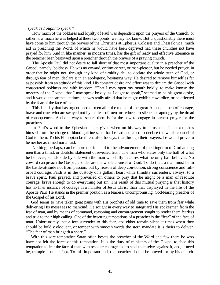#### *speak as I ought to speak.´*

How much of the boldness and loyalty of Paul was dependent upon the prayers of the Church, or rather how much he was helped at these two points, we may not know. But unquestionably there must have come to him through the prayers of the Christians at Ephesus, Colossæ and Thessalonica, much aid in preaching the Word, of which he would have been deprived had these churches not have prayed for him. And in like manner, in modern times, has the gift of ready and effective utterance in the preacher been bestowed upon a preacher through the prayers of a praying church.

The Apostle Paul did not desire to fall short of that most important quality in a preacher of the Gospel, namely, boldness. He was no coward, or time-server, or man-pleaser, but he needed prayer, in order that he might not, through any kind of timidity, fail to declare the whole truth of God, or through fear of men, declare it in an apologetic, hesitating way. He desired to remove himself as far as possible from an attitude of this kind. His constant desire and effort was to declare the Gospel with consecrated boldness and with freedom. "That I may open my mouth boldly, to make known the mystery of the Gospel, that I may speak boldly, as I ought to speak," seemed to be his great desire, and it would appear that, at times, he was really afraid that he might exhibit cowardice, or be affected by the fear of the face of man.

This is a day that has urgent need of men after the mould of the great Apostle—men of courage, brave and true, who are swayed not by the fear of men, or reduced to silence or apology by the dread of consequences. And one way to secure them is for the pew to engage in earnest prayer for the preachers.

In Paul's word to the Ephesian elders given when on his way to Jerusalem, Paul exculpates himself from the charge of blood-guiltiness, in that he had not failed to declare the whole counsel of God to them. To his Philippian brethren, also, he says, that through their prayers, he would prove to be neither ashamed nor afraid.

Nothing, perhaps, can be more detrimental to the advancement of the kingdom of God among men than a timid, or doubtful statement of revealed truth. The man who states only the half of what he believes, stands side by side with the man who fully declares what he only half believes. No coward can preach the Gospel, and declare the whole counsel of God. To do that, a man must be in the battle-attitude not from passion, but by reason of deep conviction, strong conscience and fullorbed courage. Faith is in the custody of a gallant heart while timidity surrenders, always, to a brave spirit. Paul prayed, and prevailed on others to pray that he might be a man of resolute courage, brave enough to do everything but sin. The result of this mutual praying is that history has no finer instance of courage in a minister of Jesus Christ than that displayed in the life of the Apostle Paul. He stands in the premier position as a fearless, uncompromising, God-fearing preacher of the Gospel of his Lord.

God seems to have taken great pains with His prophets of old time to save them from fear while delivering His messages to mankind. He sought in every way to safeguard His spokesmen from the fear of man, and by means of command, reasoning and encouragement sought to render them fearless and true to their high calling. One of the besetting temptations of a preacher is the "fear" of the face of man. Unfortunately, not a few surrender to this fear, and either remain silent at times when they should be boldly eloquent, or temper with smooth words the stern mandate it is theirs to deliver. "The fear of man bringeth a snare."

With this sore temptation Satan often besets the preacher of the Word and few there be who have not felt the force of this temptation. It is the duty of ministers of the Gospel to face this temptation to fear the face of man with resolute courage and to steel themselves against it, and, if need be, trample it under foot. To this important end, the preacher should be prayed for by his church.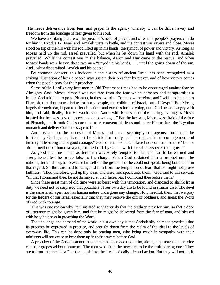He needs deliverance from fear, and prayer is the agency whereby it can be driven away and freedom from the bondage of fear given to his soul.

We have a striking picture of the preacher's need of prayer, and of what a people's prayers can do for him in Exodus 17. Israel and Amalek were in battle, and the contest was severe and close. Moses stood on top of the hill with his rod lifted up in his hands, the symbol of power and victory. As long as Moses held up the rod, Israel prevailed, but when he let down his hand with the rod, Amalek prevailed. While the contest was in the balance, Aaron and Hur came to the rescue, and when Moses' hands were heavy, these two men "stayed up his hands, . . . until the going down of the sun. And Joshua discomfited Amalek and his people.´

By common consent, this incident in the history of ancient Israel has been recognized as a striking illustration of how a people may sustain their preacher by prayer, and of how victory comes when the people pray for their preacher.

Some of the Lord's very best men in Old Testament times had to be encouraged against fear by Almighty God. Moses himself was not free from the fear which harasses and compromises a leader. God told him to go to Pharaoh, in these words: "Come now therefore, and I will send thee unto Pharaoh, that thou mayst bring forth my people, the children of Israel, out of Egypt." But Moses, largely through fear, began to offer objections and excuses for not going, until God became angry with him, and said, finally, that He would send Aaron with Moses to do the talking, as long as Moses insisted that he "was slow of speech and of slow tongue." But the fact was, Moses was afraid of the face of Pharaoh, and it took God some time to circumvent his fears and nerve him to face the Egyptian monarch and deliver God's message to him.

And Joshua, too, the successor of Moses, and a man seemingly courageous, must needs be fortified by God against fear, lest he shrink from duty, and be reduced to discouragement and timidity. "Be strong and of good courage," God commanded him. "Have I not commanded thee? Be not afraid, neither be thou dismayed, for the Lord thy God is with thee whithersoever thou goest.´

As good and true a man as Jeremiah was sorely tempted to fear and had to be warned and strengthened lest he prove false to his charge. When God ordained him a prophet unto the nations, Jeremiah began to excuse himself on the ground that he could not speak, being but a child in that regard. So the Lord had to safeguard him from the temptation of fear, that he might not prove faithless: "Thou therefore, gird up thy loins, and arise, and speak unto them," God said to His servant, "all that I command thee; be not dismayed at their faces, lest I confound thee before them."

Since these great men of old time were so beset with this temptation, and disposed to shrink from duty we need not be surprised that preachers of our own day are to be found in similar case. The devil is the same in all ages; nor has human nature undergone any change. How needful, then, that we pray for the leaders of our Israel especially that they may receive the gift of boldness, and speak the Word of God with courage.

This was one reason why Paul insisted so vigorously that the brethren pray for him, so that a door of utterance might be given him, and that he might be delivered from the fear of man, and blessed with holy boldness in preaching the Word.

The challenge and demand of the world in our own day is that Christianity be made practical; that its precepts be expressed in practice, and brought down from the realm of the ideal to the levels of every-day life. This can be done only by praying men, who being much in sympathy with their ministers will not cease to bear them up in their prayers before God.

A preacher of the Gospel cannot meet the demands made upon him, alone, any more than the vine can bear grapes without branches. The men who sit in the pews are to be the fruit-bearing ones. They are to translate the "ideal" of the pulpit into the "real" of daily life and action. But they will not do it,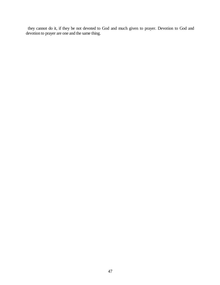they cannot do it, if they be not devoted to God and much given to prayer. Devotion to God and devotion to prayer are one and the same thing.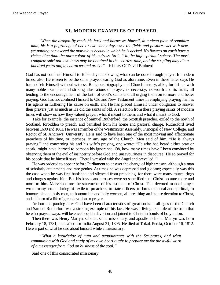#### **XI. MODERN EXAMPLES OF PRAYER**

*³When the dragon-fly rends his husk and harnesses himself, in a clean plate of sapphire mail, his is a pilgrimage of one or two sunny days over the fields and pastures wet with dew, yet nothing can exceed the marvelous beauty in which he is decked. No flowers on earth have a richer blue than the pure colour of his cuirass. So is it in the high spiritual sphere. The most complete spiritual loveliness may be obtained in the shortest time, and the stripling may die a hundred years old, in character and grace.*<sup>*''*—History Of David Brainerd</sup>

God has not confined Himself to Bible days in showing what can be done through prayer. In modern times, also, He is seen to be the same prayer-hearing God as aforetime. Even in these latter days He has not left Himself without witness. Religious biography and Church history, alike, furnish us with many noble examples and striking illustrations of prayer, its necessity, its worth and its fruits, all tending to the encouragement of the faith of God's saints and all urging them on to more and better praying. God has not confined Himself to Old and New Testament times in employing praying men as His agents in furthering His cause on earth, and He has placed Himself under obligation to answer their prayers just as much as He did the saints of old. A selection from these praying saints of modern times will show us how they valued prayer, what it meant to them, and what it meant to God.

Take for example, the instance of Samuel Rutherford, the Scottish preacher, exiled to the north of Scotland, forbidden to preach, and banished from his home and pastoral charge. Rutherford lived between 1600 and 1661. He was a member of the Westminster Assembly, Principal of New College, and Rector of St. Andrews' University. He is said to have been one of the most moving and affectionate preachers of his time, or, perhaps, in any age of the Church. Men said of him, "He is always" praying," and concerning his and his wife's praying, one wrote: "He who had heard either pray or speak, might have learned to bemoan his ignorance. Oh, how many times have I been convinced by observing them of the evil of insincerity before God and unsavouriness in discourse! He so prayed for his people that he himself says, 'There I wrestled with the Angel and prevailed."

He was ordered to appear before Parliament to answer the charge of high treason, although a man of scholarly attainments and rare genius. At times he was depressed and gloomy; especially was this the case when he was first banished and silenced from preaching, for there were many murmurings and charges against him. But his losses and crosses were so sanctified that Christ became more and more to him. Marvelous are the statements of his estimate of Christ. This devoted man of prayer wrote many letters during his exile to preachers, to state officers, to lords temporal and spiritual, to honourable and holy men, to honourable and holy women, all breathing an intense devotion to Christ, and all born of a life of great devotion to prayer.

Ardour and panting after God have been characteristics of great souls in all ages of the Church and Samuel Rutherford was a striking example of this fact. He was a living example of the truth that he who prays always, will be enveloped in devotion and joined to Christ in bonds of holy union.

Then there was Henry Martyn, scholar, saint, missionary, and apostle to India. Martyn was born February 18, 1781, and sailed for India August 31, 1805. He died at Tokal, Persia, October 16, 1812. Here is part of what he said about himself while a missionary:

*³What a knowledge of man and acquaintance with the Scriptures, and what communion with God and study of my own heart ought to prepare me for the awful work of a messenger from God on business of the soul.´*

Said one of this consecrated missionary: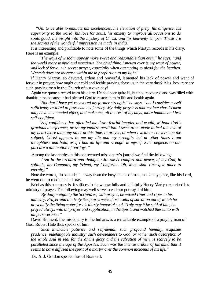*³Oh, to be able to emulate his excellencies, his elevation of piety, his diligence, his superiority to the world, his love for souls, his anxiety to improve all occasions to do souls good, his insight into the mystery of Christ, and his heavenly temper! These are the secrets of the wonderful impression he made in India.´*

It is interesting and profitable to note some of the things which Martyn records in his diary. Here is an example:

*³The ways of wisdom appear more sweet and reasonable than ever,´ he says, ³and the world more insipid and vexatious. The chief thing I mourn over is my want of power, and lack of fervour in secret prayer, especially when attempting to plead for the heathen. Warmth does not increase within me in proportion to my light.´*

If Henry Martyn, so devoted, ardent and prayerful, lamented his lack of power and want of fervour in prayer, how ought our cold and feeble praying abase us in the very dust? Alas, how rare are such praying men in the Church of our own day!

Again we quote a record from his diary. He had been quite ill, but had recovered and was filled with thankfulness because it had pleased God to restore him to life and health again.

*³Not that I have yet recovered my former strength,´ he says, ³but I consider myself sufficiently restored to prosecute my journey. My daily prayer is that my late chastisement may have its intended effect, and make me, all the rest of my days, more humble and less self-confident.*

*³Self-confidence has often led me down fearful lengths, and would, without God¶s gracious interference, prove my endless perdition. I seem to be made to feel this evil of my heart more than any other at this time. In prayer, or when I write or converse on the subject, Christ appears to me my life and my strength; but at other times I am thoughtless and bold, as if I had all life and strength in myself. Such neglects on our part are a diminution of our joys.´*

Among the last entries in this consecrated missionary's journal we find the following:

*³I sat in the orchard and thought, with sweet comfort and peace, of my God, in solitude, my Company, my Friend, my Comforter. Oh, when shall time give place to eternity!´*

Note the words, "in solitude,"—away from the busy haunts of men, in a lonely place, like his Lord, he went out to meditate and pray.

Brief as this summary is, it suffices to show how fully and faithfully Henry Martyn exercised his ministry of prayer. The following may well serve to end our portrayal of him:

*³By daily weighing the Scriptures, with prayer, he waxed riper and riper in his ministry. Prayer and the Holy Scriptures were those wells of salvation out of which he drew daily the living water for his thirsty immortal soul. Truly may it be said of him, he prayed always with all prayer and supplication, in the Spirit, and watched thereunto with all perseverance.´*

David Brainerd, the missionary to the Indians, is a remarkable example of a praying man of God. Robert Hale thus speaks of him:

*³Such invincible patience and self-denial; such profound humility, exquisite prudence, indefatigable industry; such devotedness to God, or rather such absorption of the whole soul in zeal for the divine glory and the salvation of men, is scarcely to be paralleled since the age of the Apostles. Such was the intense ardour of his mind that it seems to have diffused the spirit of a martyr over the common incidents of his life.´*

Dr. A. J. Gordon speaks thus of Brainerd: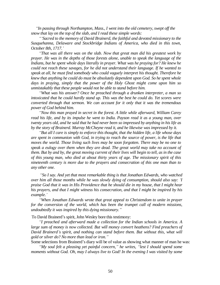*³In passing through Northampton, Mass., I went into the old cemetery, swept off the snow that lay on the top of the slab, and I read these simple words:*

*³µSacred to the memory of David Brainerd, the faithful and devoted missionary to the Susquehanna, Delaware and Stockbridge Indians of America, who died in this town, October 8th, 1717.¶*

*³That was all there was on the slab. Now that great man did his greatest work by prayer. He was in the depths of those forests alone, unable to speak the language of the Indians, but he spent whole days literally in prayer. What was he praying for? He knew he could not reach these savages, for he did not understand their language. If he wanted to speak at all, he must find somebody who could vaguely interpret his thought. Therefore he knew that anything he could do must be absolutely dependent upon God. So he spent whole days in praying, simply that the power of the Holy Ghost might come upon him so unmistakably that these people would not be able to stand before him.*

*³What was his answer? Once he preached through a drunken interpreter, a man so intoxicated that he could hardly stand up. This was the best he could do. Yet scores were converted through that sermon. We can account for it only that it was the tremendous power of God behind him.*

*³Now this man prayed in secret in the forest. A little while afterward, William Carey read his life, and by its impulse he went to India. Payson read it as a young man, over twenty years old, and he said that he had never been so impressed by anything in his life as by the story of Brainerd. Murray McCheyne read it, and he likewise was impressed by it.*

*³But all I care is simply to enforce this thought, that the hidden life, a life whose days are spent in communion with God, in trying to reach the source of power, is the life that moves the world. Those living such lives may be soon forgotten. There may be no one to speak a eulogy over them when they are dead. The great world may take no account of them. But by and by, the great moving current of their lives will begin to tell, as in the case of this young man, who died at about thirty years of age. The missionary spirit of this nineteenth century is more due to the prayers and consecration of this one man than to any other one.*

*³So I say. And yet that most remarkable thing is that Jonathan Edwards, who watched over him all those months while he was slowly dying of consumption, should also say: µI praise God that it was in His Providence that he should die in my house, that I might hear his prayers, and that I might witness his consecration, and that I might be inspired by his example.¶*

*³When Jonathan Edwards wrote that great appeal to Christendom to unite in prayer for the conversion of the world, which has been the trumpet call of modern missions, undoubtedly it was inspired by this dying missionary.´*

To David Brainerd's spirit, John Wesley bore this testimony:

*³I preached and afterward made a collection for the Indian schools in America. A large sum of money is now collected. But will money convert heathens? Find preachers of David Brainerd¶s spirit, and nothing can stand before them. But without this, what will gold or silver do? No more than lead or iron.´*

Some selections from Brainerd's diary will be of value as showing what manner of man he was:

*³My soul felt a pleasing yet painful concern,´ he writes, ³lest I should spend some moments without God. Oh, may I always live to God! In the evening I was visited by some*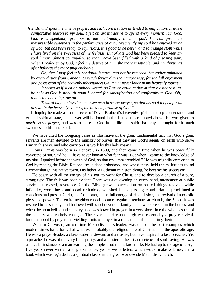*friends, and spent the time in prayer, and such conversation as tended to edification. It was a comfortable season to my soul. I felt an ardent desire to spend every moment with God. God is unspeakably gracious to me continually. In time past, He has given me inexpressible sweetness in the performance of duty. Frequently my soul has enjoyed much of God, but has been ready to say, µLord, it is good to be here;¶ and so indulge sloth while I have lived on the sweetness of my feelings. But of late God has been pleased to keep my soul hungry almost continually, so that I have been filled with a kind of pleasing pain. When I really enjoy God, I feel my desires of Him the more insatiable, and my thirstings after holiness the more unquenchable.*

*³Oh, that I may feel this continual hunger, and not be retarded, but rather animated by every duster from Canaan, to reach forward in the narrow way, for the full enjoyment and possession of the heavenly inheritance! Oh, may I never loiter in my heavenly journey!*

*³It seems as if such an unholy wretch as I never could arrive at that blessedness, to be holy as God is holy. At noon I longed for sanctification and conformity to God. Oh, that is the one thing, the all!*

*³Toward night enjoyed much sweetness in secret prayer, so that my soul longed for an arrival in the heavenly country, the blessed paradise of God.´*

If inquiry be made as to the secret of David Brainerd's heavenly spirit, his deep consecration and exalted spiritual state, the answer will be found in the last sentence quoted above. He was given to *much secret prayer,* and was so close to God in his life and spirit that prayer brought forth much sweetness to his inner soul.

We have cited the foregoing cases as illustrative of the great fundamental fact that God's great servants are men devoted to the ministry of prayer; that they are God's agents on earth who serve Him in this way, and who carry on His work by this holy means.

Louis Harms was born in Hanover, in 1809, and then came a time when he was powerfully convicted of sin. Said he, "I have never known what fear was. But when I came to the knowledge of my sins, I quaked before the wrath of God, so that my limbs trembled." He was mightily converted to God by reading the Bible. Rationalism, a dead orthodoxy, and worldliness, held the multitudes round Hermansburgh, his native town. His father, a Lutheran minister, dying, he became his successor.

He began with all the energy of his soul to work for Christ, and to develop a church of a pure, strong type. The fruit was soon evident. There was a quickening on every hand, attendance at public services increased, reverence for the Bible grew, conversation on sacred things revived, while infidelity, worldliness and dead orthodoxy vanished like a passing cloud. Harms proclaimed a conscious and present Christ, the Comforter, in the full energy of His mission, the revival of apostolic piety and power. The entire neighbourhood became regular attendants at church, the Sabbath was restored to its sanctity, and hallowed with strict devotion, family altars were erected in the homes, and when the noon bell sounded, every head was bowed in prayer. In a very short time the whole aspect of the country was entirely changed. The revival in Hermansburgh was essentially a prayer revival, brought about by prayer and yielding fruits of prayer in a rich and an abundant ingathering.

William Carvosso, an old-time Methodist class-leader, was one of the best examples which modern times has afforded of what was probably the religious life of Christians in the apostolic age. He was a prayer-leader, a class-leader, a steward and a trustee, but never aspired to be a preacher. Yet a preacher he was of the very first quality, and a master in the art and science of soul-saving. He was a singular instance of a man learning the simplest rudiments late in life. He had up to the age of sixtyfive years never written a single sentence, yet he wrote letters which would make volumes, and a book which was regarded as a spiritual classic in the great world-wide Methodist Church.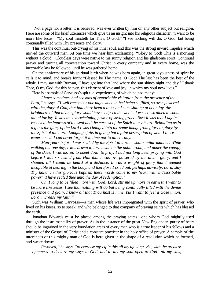Not a page nor a letter, it is believed, was ever written by him on any other subject but religion. Here are some of his brief utterances which give us an insight into his religious character.  $\alpha$ I want to be more like Jesus." "My soul thirsteth for Thee, O God." "I see nothing will do, O God, but being continually filled with Thy presence and glory.´

This was the continual out-crying of his inner soul, and this was the strong inward impulse which moved the outward man. At one time we hear him exclaiming, "Glory to God! This is a morning without a cloud.<sup>"</sup> Cloudless days were native to his sunny religion and his gladsome spirit. Continual prayer and turning all conversation toward Christ in every company and in every home, was the inexorable law he followed, until he was gathered home.

On the anniversary of his spiritual birth when he was born again, in great joyousness of spirit he calls it to mind, and breaks forth: "Blessed be Thy name, O God! The last has been the best of the whole. I may say with Bunyan, 'I have got into that land where the sun shines night and day.' I thank Thee, O my God, for this heaven, this element of love and joy, in which my soul now lives.<sup>"</sup>

Here is a sample of Carvosso's spiritual experiences, of which he had many:

*³I have sometimes had seasons of remarkable visitation from the presence of the Lord,´ he says. ³I well remember one night when in bed being so filled, so over-powered with the glory of God, that had there been a thousand suns shining at noonday, the brightness of that divine glory would have eclipsed the whole. I was constrained to shout aloud for joy. It was the overwhelming power of saving grace. Now it was that I again received the impress of the seal and the earnest of the Spirit in my heart. Beholding as in a glass the glory of the Lord I was changed into the same image from glory to glory by the Spirit of the Lord. Language fails in giving but a faint description of what I there experienced. I can never forget it in time nor to all eternity.*

*³Man years before I was sealed by the Spirit in a somewhat similar manner. While walking out one day, I was drawn to turn aside on the public road, and under the canopy of the skies, I was moved to kneel down to pray. I had not long been praying with God before I was so visited from Him that I was overpowered by the divine glory, and I shouted till I could be heard at a distance. It was a weight of glory that I seemed incapable of bearing in the body, and therefore I cried out, perhaps unwisely, Lord, stay Thy hand. In this glorious baptism these words came to my heart with indescribable power: 'I have sealed thee unto the day of redemption.'* 

*³Oh, I long to be filled more with God! Lord, stir me up more in earnest. I want to be more like Jesus. I see that nothing will do but being continually filled with the divine presence and glory. I know all that Thou hast is mine, but I want to feel a close union. Lord, increase my faith.´*

Such was William Carvosso—a man whose life was impregnated with the spirit of prayer, who lived on his knees, so to speak, and who belonged to that company of praying saints which has blessed the earth.

Jonathan Edwards must be placed among the praying saints—one whom God mightily used through the instrumentality of prayer. As in the instance of the great New Englander, purity of heart should be ingrained in the very foundation areas of every man who is a true leader of his fellows and a minister of the Gospel of Christ and a constant practicer in the holy office of prayer. A sample of the utterances of this mighty man of God is here given in the shape of a resolution which he formed, and wrote down:

*³Resolved,´ he says, ³to exercise myself in this all my life long, viz., with the greatest openness to declare my ways to God, and to lay my soul open to God²all my sins,*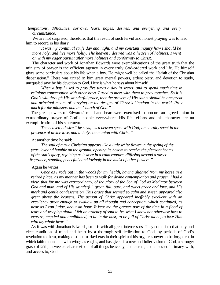*temptations, difficulties, sorrows, fears, hopes, desires, and everything and every circumstance.´*

We are not surprised, therefore, that the result of such fervid and honest praying was to lead him to record in his diary:

*³It was my continual strife day and night, and my constant inquiry how I should be more holy, and live more holily. The heaven I desired was a heaven of holiness. I went on with my eager pursuit after more holiness and conformity to Christ.´*

The character and work of Jonathan Edwards were exemplifications of the great truth that the ministry of prayer is the efficient agency in every truly God-ordered work and life. He himself gives some particulars about his life when a boy. He might well be called the "Isaiah of the Christian" dispensation." There was united in him great mental powers, ardent piety, and devotion to study, unequaled save by his devotion to God. Here is what he says about himself:

*³When a boy I used to pray five times a day in secret, and to spend much time in religious conversation with other boys. I used to meet with them to pray together. So it is God¶s will through His wonderful grace, that the prayers of His saints should be one great and principal means of carrying on the designs of Christ¶s kingdom in the world. Pray much for the ministers and the Church of God.´*

The great powers of Edwards' mind and heart were exercised to procure an agreed union in extraordinary prayer of God's people everywhere. His life, efforts and his character are an exemplification of his statement.

*³The heaven I desire,´ he says, ³is a heaven spent with God; an eternity spent in the presence of divine love, and in holy communion with Christ.´*

#### At another time he said:

*³The soul of a true Christian appears like a little white flower in the spring of the year, low and humble on the ground, opening its bosom to receive the pleasant beams of the sun¶s glory, rejoicing as it were in a calm rapture, diffusing around a sweet fragrance, standing peacefully and lovingly in the midst of other flowers.´*

#### Again he writes:

*³Once as I rode out in the woods for my health, having alighted from my horse in a retired place, as my manner has been to walk for divine contemplation and prayer, I had a view, that for me was extraordinary, of the glory of the Son of God as Mediator between God and man, and of His wonderful, great, full, pure, and sweet grace and love, and His meek and gentle condescension. This grace that seemed so calm and sweet, appeared also great above the heavens. The person of Christ appeared ineffably excellent with an excellency great enough to swallow up all thought and conception, which continued, as near as I can judge, about an hour. It kept me the greater part of the time in a flood of tears and weeping aloud. I felt an ardency of soul to be, what I know not otherwise how to express, emptied and annihilated, to lie in the dust; to be full of Christ alone, to love Him with my whole heart.´*

As it was with Jonathan Edwards, so it is with all great intercessors. They come into that holy and elect condition of mind and heart by a thorough self-dedication to God, by periods of God's revelation to them, making distinct marked eras in their spiritual history, eras never to be forgotten, in which faith mounts up with wings as eagles, and has given it a new and fuller vision of God, a stronger grasp of faith, a sweeter, clearer vision of all things heavenly, and eternal, and a blessed intimacy with, and access to, God.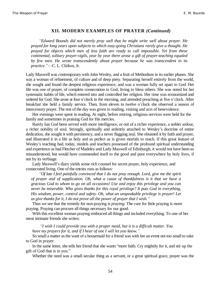#### **XII. MODERN EXAMPLES OF PRAYER** *(Continued)*

*³Edward Bounds did not merely pray well that he might write well about prayer. He prayed for long years upon subjects to which easy-going Christians rarely give a thought. He prayed for objects which men of less faith are ready to call impossible. Yet from these continental, solitary prayer-vigils, year by year there arose a gift of prayer-teaching equaled by few men. He wrote transcendently about prayer because he was transcendent in its practice.*<sup>"</sup>—C. L. Chilton, Jr.

Lady Maxwell was contemporary with John Wesley, and a fruit of Methodism in its earlier phases. She was a woman of refinement, of culture and of deep piety. Separating herself entirely from the world, she sought and found the deepest religious experience, and was a woman fully set apart to God. Her life was one of prayer, of complete consecration to God, living to bless others. She was noted for her systematic habits of life, which entered into and controlled her religion. Her time was economized and ordered for God. She arose at four o'clock in the morning, and attended preaching at five o'clock. After breakfast she held a family service. Then, from eleven to twelve o'clock she observed a season of intercessory prayer. The rest of the day was given to reading, visiting and acts of benevolence.

Her evenings were spent in reading. At night, before retiring, religious services were held for the family and sometimes in praising God for His mercies.

Rarely has God been served with more intelligence, or out of a richer experience, a nobler ardour, a richer nobility of soul. Strongly, spiritually and ardently attached to Wesley's doctrine of entire dedication, she sought it with persistency, and a never flagging zeal. She obtained it by faith and prayer, and illustrated it in a life as holy and as perfect as is given mortals to reach. If this great feature of Wesley's teaching had, today, models and teachers possessed of the profound spiritual understanding and experience as had Fletcher of Madeley and Lady Maxwell of Edinburgh, it would not have been so misunderstood, but would have commended itself to the good and pure everywhere by holy lives, if not by its verbiage.

Lady Maxwell's diary yields some rich counsel for secret prayer, holy experience, and consecrated living. One of the entries runs as follows:

*³Of late I feel painfully convinced that I do not pray enough. Lord, give me the spirit of prayer and of supplication. Oh, what a cause of thankfulness is it that we have a gracious God to whom to go on all occasions! Use and enjoy this privilege and you can never be miserable. Who gives thanks for this royal privilege? It puts God in everything, His wisdom, power, control and safety. Oh, what an unspeakable privilege is prayer! Let us give thanks for it, I do not prove all the power of prayer that I wish.´*

Thus we see that the remedy for non-praying is *praying.* The cure for little praying is more praying. Praying can procure all things necessary for our good.

With this excellent woman praying embraced all things and included everything. To one of her most intimate friends she writes:

*³I wish I could provide you with a proper maid, but it is a difficult matter. You have my prayers for it, and if I hear of one I will let you know.´*

So small a matter as the want of a housemaid for a friend was with her an event not too small to take to God in prayer.

In the same letter, she tells her friend that she wants "more faith. Cry mightily for it, and stir up the gift of God that is in you.´

Whether the need was a small secular thing as a servant, or a great spiritual grace, prayer was the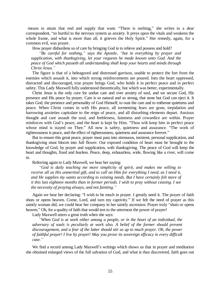means to attain that end and supply that want. "There is nothing," she writes to a dear correspondent, "so hurtful to the nervous system as anxiety. It preys upon the vitals and weakens the whole frame, and what is more than all, it grieves the Holy Spirit." Her remedy, again, for a common evil, was prayer.

How prayer disburdens us of care by bringing God in to relieve and possess and hold?

*³Be careful for nothing,´ says the Apostle, ³but in everything by prayer and supplication, with thanksgiving, let your requests he made known unto God. And the peace of God which passeth all understanding shall keep your hearts and minds through Christ Jesus.´*

The figure is that of a beleagured and distressed garrison, unable to protect the fort from the enemies which assault it, into which strong reinforcements are poured. Into the heart oppressed, distracted and discouraged, true prayer brings God, who holds it in perfect peace and in perfect safety. This Lady Maxwell fully understood theoretically, but which was better, experimentally.

Christ Jesus is the only cure for undue care and over anxiety of soul, and we secure God, His presence and His peace by prayer. Care is so natural and so strong, that none but God can eject it. It takes God, the presence and personality of God Himself, to oust the care and to enthrone quietness and peace. When Christ comes in with His peace, all tormenting fears are gone, trepidation and harrowing anxieties capitulate to the reign of peace, and all disturbing elements depart. Anxious thought and care assault the soul, and feebleness, faintness and cowardice are within. Prayer reinforces with God's peace, and the heart is kept by Him. "Thou wilt keep him in perfect peace whose mind is stayed on Thee." All now is safety, quietness and assurance. "The work of righteousness is peace, and the effect of righteousness, quietness and assurance forever.<sup>"</sup>

But to ensure this great peace, prayer must pass into strenuous, insistent, personal supplication, and thanksgiving must bloom into full flower. Our exposed condition of heart must be brought to the knowledge of God, by prayer and supplication, with thanksgiving. The peace of God will keep the heart and thoughts, fixed and fearless. Peace, deep, exhaustless, wide, flowing like a river, will come in.

Referring again to Lady Maxwell, we hear her saying:

*³God is daily teaching me more simplicity of spirit, and makes me willing to receive all as His unmerited gift, and to call on Him for everything I need, as I need it, and He supplies my wants according to existing needs. But I have certainly felt more of it this last eighteen months than in former periods. I wish to pray without ceasing. I see the necessity of praying always, and not fainting.´*

Again we hear her declaring: "I wish to be much in prayer. I greatly need it. The prayer of faith shuts or opens heaven. Come, Lord, and turn my captivity." If we felt the need of prayer as this saintly woman did, we could bear her company in her saintly ascension. Prayer truly "shuts or opens heaven." Oh, for a quality of faith that would test to the uttermost the power of prayer!

Lady Maxwell utters a great truth when she says:

*³When God is at work either among a people, or in the heart of an individual, the adversary of souls is peculiarly at work also. A belief of the former should prevent discouragement, and a fear of the latter should stir us up to much prayer. Oh, the power of faithful prayer! I live by prayer! May you prove its sovereign efficacy in every difficult case.´*

We find a record among Lady Maxwell's writings which shows us that in prayer and meditation she obtained enlarged views of the full salvation of God, and what is thus discovered, faith goes out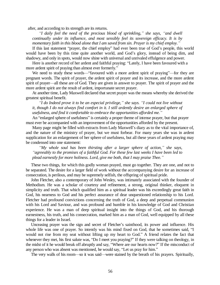after, and according to its strength are its returns.

*<i>4I* daily feel the need of the precious blood of sprinkling,<sup>"</sup> she says, "and dwell *continually under its influence, and most sensibly feel its sovereign efficacy. It is by momentary faith in this blood alone that I am saved from sin. Prayer is my chief employ.´*

If this last statement "prayer, the chief employ" had ever been true of God's people, this world would have been by this time quite another world, and God's glory, instead of being dim, and shadowy, and only in spots, would now shine with universal and unrivaled effulgence and power.

Here is another record of her ardent and faithful praying: "Lately, I have been favoured with a more ardent spirit of praying than almost ever formerly."

We need to study these words—"favoured with a more ardent spirit of praying"—for they are pregnant words. The spirit of prayer, the ardent spirit of prayer and its increase, and the more ardent spirit of prayer—all these are of God. They are given in answer to prayer. The spirit of prayer and the more ardent spirit are the result of ardent, importunate secret prayer.

At another time, Lady Maxwell declared that secret prayer was the means whereby she derived the greatest spiritual benefit.

*³I do Indeed prove it to be an especial privilege,´ she says. ³I could not live without it, though I do not always find comfort in it. I still ardently desire an enlarged sphere of usefulness, and find it comfortable to embrace the opportunities afforded me.´*

An "enlarged sphere of usefulness" is certainly a proper theme of intense prayer, but that prayer must ever be accompanied with an improvement of the opportunities afforded by the present.

Many page might be filled with extracts from Lady Maxwell's diary as to the vital importance of, and the nature of the ministry of prayer, but we must forbear. For many years she was in ardent supplication for an enlargement of her sphere of usefulness, but all these years of ardent praying may be condensed into one statement:

*³My whole soul has been thirsting after a larger sphere of action,´ she says, ³agreeably to the promises of a faithful God. For these few last weeks I have been led to plead earnestly for more holiness. Lord, give me both, that I may praise Thee.´*

These two things, for which this godly woman prayed, must go together. They are one, and not to be separated. The desire for a larger field of work without the accompanying desire for an increase of consecration, is perilous, and may be supremely selfish, the offspring of spiritual pride.

John Fletcher, also a contemporary of John Wesley, was intimately associated with the founder of Methodism. He was a scholar of courtesy and refinement, a strong, original thinker, eloquent in simplicity and truth. That which qualified him as a spiritual leader was his exceedingly great faith in God, his nearness to God and his perfect assurance of dear unquestioned relationship to his Lord. Fletcher had profound convictions concerning the truth of God, a deep and perpetual communion with his Lord and Saviour, and was profound and humble in his knowledge of God and Christian experience. He was a man of deep spiritual insight into the things of God, and his thorough earnestness, his truth, and his consecration, marked him as a man of God, well equipped by all these things for a leader in Israel.

Unceasing prayer was the sign and secret of Fletcher's sainthood, its power and influence. His whole life was one of prayer. So intently was his mind fixed on God, that he sometimes said, "I would not rise from my seat without lifting up my heart to God.<sup>"</sup> A friend relates the fact that whenever they met, his first salute was, "Do I meet you praying?" If they were talking on theology, in the midst of it he would break off abruptly and say, "Where are our hearts now?" If the misconduct of any person who was absent was mentioned, he would say, "Let us pray for him."

The very walls of his room—so it was said—were stained by the breath of his prayers. Spiritually,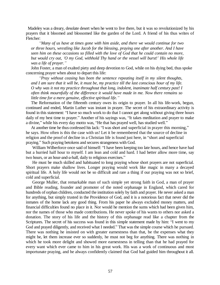Madeley was a dreary, desolate desert when he went to live there, but it was so revolutionized by his prayers that it bloomed and blossomed like the garden of the Lord. A friend of his thus writes of Fletcher:

*³Many of us have at times gone with him aside, and there we would continue for two or three hours, wrestling like Jacob for the blessing, praying one after another. And I have seen him on these occasions so filled with the love of God that he could contain no more, but would cry out, 'O my God, withhold Thy hand or the vessel will burst!' His whole life was a life of prayer.´*

John Foster, a man of exalted piety and deep devotion to God, while on his dying bed, thus spoke concerning prayer when about to depart this life:

*³Pray without ceasing has been the sentence repeating itself in my silent thoughts, and I am sure that it will be, it must be, my practice till the last conscious hour of my life. O why was it not my practice throughout that long, indolent, inanimate half century past! I often think mournfully of the difference it would have made in me. Now there remains so little time for a mere genuine, effective spiritual life.´*

The Reformation of the fifteenth century owes its origin to prayer. In all his life-work, begun, continued and ended, Martin Luther was instant in prayer. The secret of his extraordinary activity is found in this statement: "I have so much work to do that I cannot get along without giving three hours daily of my best time to prayer." Another of his sayings was, "It takes meditation and prayer to make a divine," while his every day motto was, "He that has prayed well, has studied well."

At another time he thus confessed his lack: "I was short and superficial in prayer this morning," he says. How often is this the case with us! Let it be remembered that the source of decline in religion and the proof of decline in a Christian life is found just here, in "short and superficial praying." Such praying betokens and secures strangeness with God.

William Wilberforce once said of himself: "I have been keeping too late hours, and hence have had but a hurried half hour to myself. I am lean and cold and hard. I had better allow more time, say two hours, or an hour-and-a-half, daily to religious exercises.´

He must be much skilled and habituated to long praying whose short prayers are not superficial. Short prayers make shallow lives. Longer praying would work like magic in many a decayed spiritual life. A holy life would not be so difficult and rare a thing if our praying was not so brief, cold and superficial.

George Muller, that remarkable man of such simple yet strong faith in God, a man of prayer and Bible reading, founder and promoter of the noted orphanage in England, which cared for hundreds of orphan children, conducted the institution solely by faith and prayer. He never asked a man for anything, but simply trusted in the Providence of God, and it is a notorious fact that never did the inmates of the home lack any good thing. From his paper he always excluded money matters, and financial difficulties found no place in it. Nor would he mention the sums which had been given him, nor the names of those who made contributions. He never spoke of his wants to others nor asked a donation. The story of his life and the history of this orphanage read like a chapter from the Scriptures. The secret of his success was found in this simple statement made by him: "I went to my God and prayed diligently, and received what I needed." That was the simple course which he pursued. There was nothing he insisted on with greater earnestness than that, be the expenses what they might be, let them increase ever so suddenly, he must not beg for anything. There was nothing in which he took more delight and showed more earnestness in telling than that he had prayed for every want which ever came to him in his great work. His was a work of continuous and most importunate praying, and he always confidently claimed that God had guided him throughout it all.